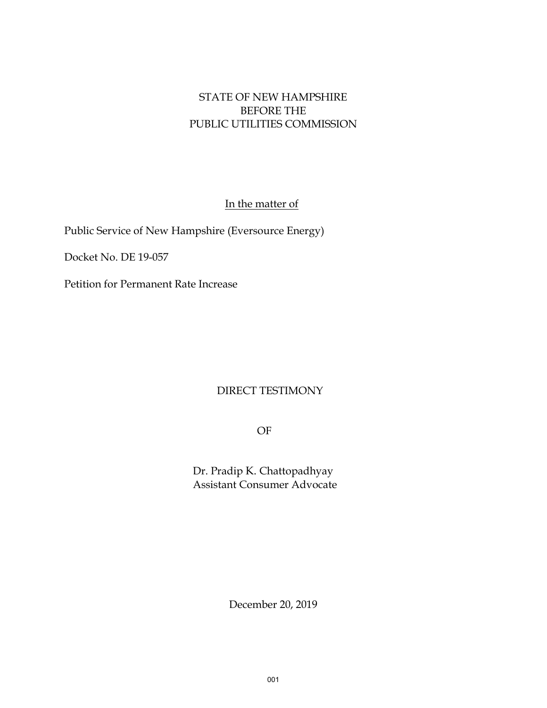### STATE OF NEW HAMPSHIRE BEFORE THE PUBLIC UTILITIES COMMISSION

In the matter of

Public Service of New Hampshire (Eversource Energy)

Docket No. DE 19-057

Petition for Permanent Rate Increase

### DIRECT TESTIMONY

OF

Dr. Pradip K. Chattopadhyay Assistant Consumer Advocate

December 20, 2019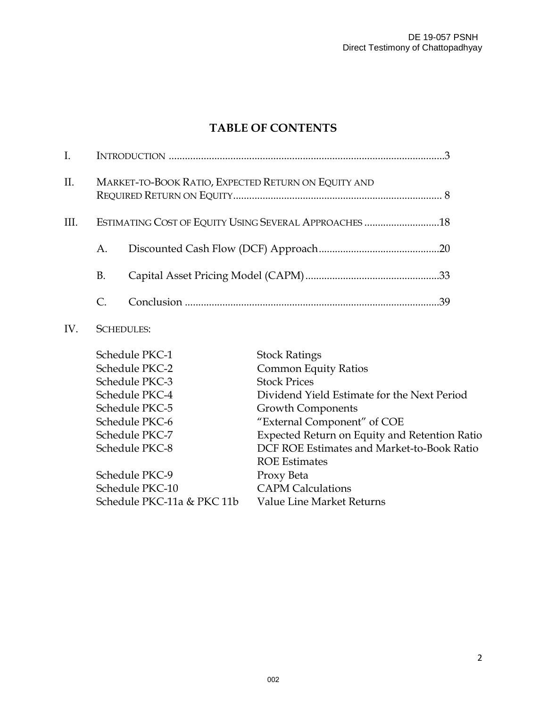## **TABLE OF CONTENTS**

| $\rm{II}$ . |    | MARKET-TO-BOOK RATIO, EXPECTED RETURN ON EQUITY AND   |    |
|-------------|----|-------------------------------------------------------|----|
| HI.         |    | ESTIMATING COST OF EQUITY USING SEVERAL APPROACHES 18 |    |
|             | A. |                                                       |    |
|             | В. |                                                       |    |
|             |    |                                                       | 39 |
|             |    |                                                       |    |

### IV. SCHEDULES:

| Schedule PKC-1             | <b>Stock Ratings</b>                          |
|----------------------------|-----------------------------------------------|
| Schedule PKC-2             | <b>Common Equity Ratios</b>                   |
| Schedule PKC-3             | <b>Stock Prices</b>                           |
| Schedule PKC-4             | Dividend Yield Estimate for the Next Period   |
| Schedule PKC-5             | <b>Growth Components</b>                      |
| Schedule PKC-6             | "External Component" of COE                   |
| Schedule PKC-7             | Expected Return on Equity and Retention Ratio |
| Schedule PKC-8             | DCF ROE Estimates and Market-to-Book Ratio    |
|                            | <b>ROE Estimates</b>                          |
| Schedule PKC-9             | Proxy Beta                                    |
| Schedule PKC-10            | <b>CAPM Calculations</b>                      |
| Schedule PKC-11a & PKC 11b | Value Line Market Returns                     |
|                            |                                               |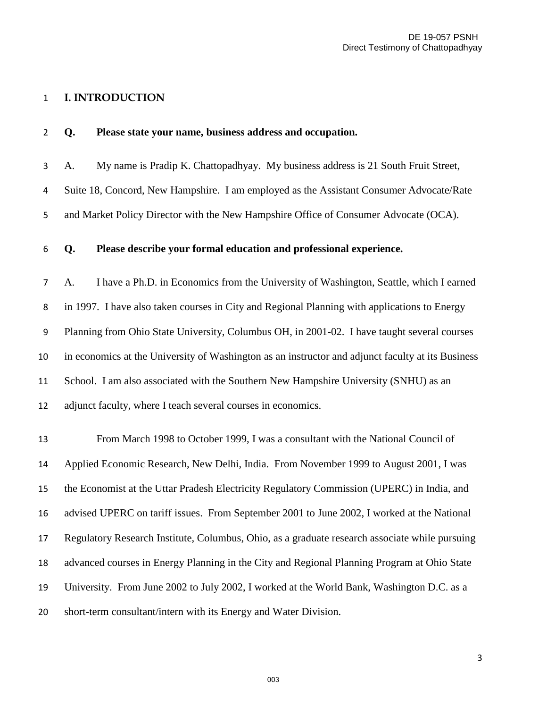### **I. INTRODUCTION**

| $\overline{2}$ | Q. | Please state your name, business address and occupation.                                          |
|----------------|----|---------------------------------------------------------------------------------------------------|
| 3              | A. | My name is Pradip K. Chattopadhyay. My business address is 21 South Fruit Street,                 |
| 4              |    | Suite 18, Concord, New Hampshire. I am employed as the Assistant Consumer Advocate/Rate           |
| 5              |    | and Market Policy Director with the New Hampshire Office of Consumer Advocate (OCA).              |
| 6              | Q. | Please describe your formal education and professional experience.                                |
| $\overline{7}$ | A. | I have a Ph.D. in Economics from the University of Washington, Seattle, which I earned            |
| 8              |    | in 1997. I have also taken courses in City and Regional Planning with applications to Energy      |
| 9              |    | Planning from Ohio State University, Columbus OH, in 2001-02. I have taught several courses       |
| 10             |    | in economics at the University of Washington as an instructor and adjunct faculty at its Business |
| 11             |    | School. I am also associated with the Southern New Hampshire University (SNHU) as an              |
| 12             |    | adjunct faculty, where I teach several courses in economics.                                      |
| 13             |    | From March 1998 to October 1999, I was a consultant with the National Council of                  |
| 14             |    | Applied Economic Research, New Delhi, India. From November 1999 to August 2001, I was             |
| 15             |    | the Economist at the Uttar Pradesh Electricity Regulatory Commission (UPERC) in India, and        |
| 16             |    | advised UPERC on tariff issues. From September 2001 to June 2002, I worked at the National        |
| 17             |    | Regulatory Research Institute, Columbus, Ohio, as a graduate research associate while pursuing    |
| 18             |    | advanced courses in Energy Planning in the City and Regional Planning Program at Ohio State       |
| 19             |    | University. From June 2002 to July 2002, I worked at the World Bank, Washington D.C. as a         |
| 20             |    | short-term consultant/intern with its Energy and Water Division.                                  |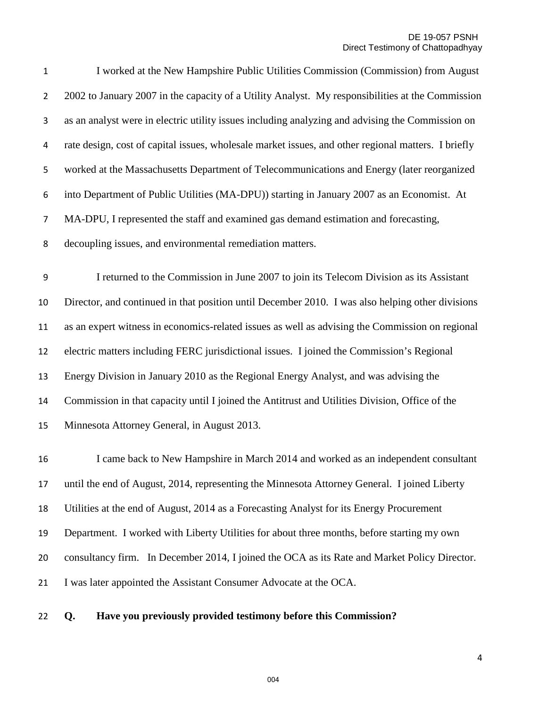I worked at the New Hampshire Public Utilities Commission (Commission) from August 2 2002 to January 2007 in the capacity of a Utility Analyst. My responsibilities at the Commission as an analyst were in electric utility issues including analyzing and advising the Commission on rate design, cost of capital issues, wholesale market issues, and other regional matters. I briefly worked at the Massachusetts Department of Telecommunications and Energy (later reorganized into Department of Public Utilities (MA-DPU)) starting in January 2007 as an Economist. At MA-DPU, I represented the staff and examined gas demand estimation and forecasting, decoupling issues, and environmental remediation matters.

I returned to the Commission in June 2007 to join its Telecom Division as its Assistant Director, and continued in that position until December 2010. I was also helping other divisions as an expert witness in economics-related issues as well as advising the Commission on regional electric matters including FERC jurisdictional issues. I joined the Commission's Regional Energy Division in January 2010 as the Regional Energy Analyst, and was advising the Commission in that capacity until I joined the Antitrust and Utilities Division, Office of the Minnesota Attorney General, in August 2013.

 I came back to New Hampshire in March 2014 and worked as an independent consultant until the end of August, 2014, representing the Minnesota Attorney General. I joined Liberty Utilities at the end of August, 2014 as a Forecasting Analyst for its Energy Procurement Department. I worked with Liberty Utilities for about three months, before starting my own consultancy firm. In December 2014, I joined the OCA as its Rate and Market Policy Director. I was later appointed the Assistant Consumer Advocate at the OCA.

#### **Q. Have you previously provided testimony before this Commission?**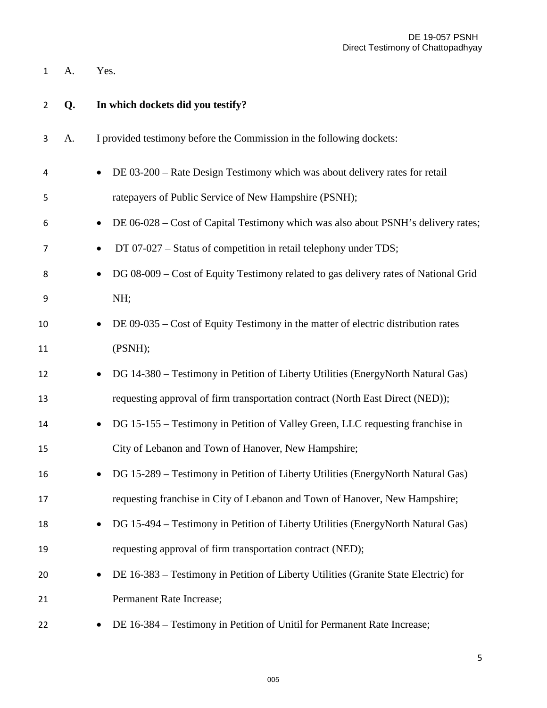A. Yes.

| $\overline{2}$ | Q. | In which dockets did you testify?                                                                |
|----------------|----|--------------------------------------------------------------------------------------------------|
| 3              | A. | I provided testimony before the Commission in the following dockets:                             |
| 4              |    | DE 03-200 – Rate Design Testimony which was about delivery rates for retail                      |
| 5              |    | ratepayers of Public Service of New Hampshire (PSNH);                                            |
| 6              |    | DE 06-028 – Cost of Capital Testimony which was also about PSNH's delivery rates;<br>$\bullet$   |
| 7              |    | DT 07-027 – Status of competition in retail telephony under TDS;<br>$\bullet$                    |
| 8              |    | DG 08-009 – Cost of Equity Testimony related to gas delivery rates of National Grid<br>$\bullet$ |
| 9              |    | NH;                                                                                              |
| 10             |    | DE 09-035 – Cost of Equity Testimony in the matter of electric distribution rates<br>$\bullet$   |
| 11             |    | (PSNH);                                                                                          |
| 12             |    | DG 14-380 – Testimony in Petition of Liberty Utilities (EnergyNorth Natural Gas)                 |
| 13             |    | requesting approval of firm transportation contract (North East Direct (NED));                   |
| 14             |    | DG 15-155 – Testimony in Petition of Valley Green, LLC requesting franchise in<br>$\bullet$      |
| 15             |    | City of Lebanon and Town of Hanover, New Hampshire;                                              |
| 16             |    | DG 15-289 – Testimony in Petition of Liberty Utilities (EnergyNorth Natural Gas)                 |
| 17             |    | requesting franchise in City of Lebanon and Town of Hanover, New Hampshire;                      |
| 18             |    | DG 15-494 – Testimony in Petition of Liberty Utilities (EnergyNorth Natural Gas)                 |
| 19             |    | requesting approval of firm transportation contract (NED);                                       |
| 20             |    | DE 16-383 – Testimony in Petition of Liberty Utilities (Granite State Electric) for<br>$\bullet$ |
| 21             |    | Permanent Rate Increase;                                                                         |
| 22             |    | DE 16-384 – Testimony in Petition of Unitil for Permanent Rate Increase;                         |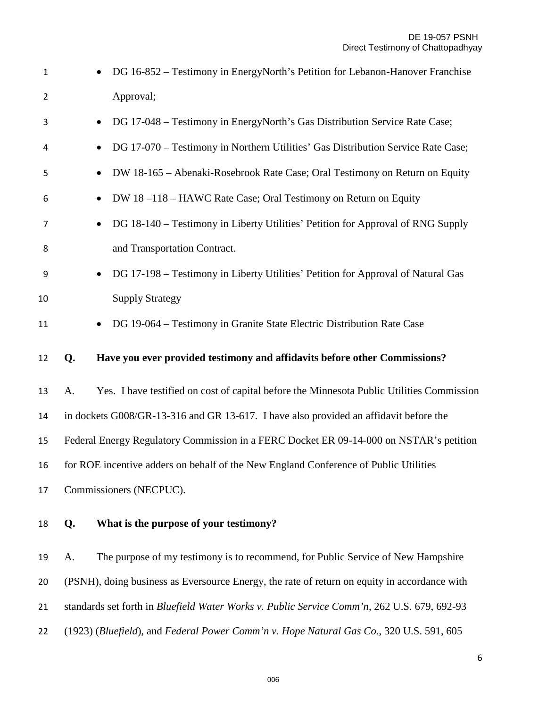| $\mathbf{1}$   | $\bullet$                                                                            | DG 16-852 - Testimony in EnergyNorth's Petition for Lebanon-Hanover Franchise                |  |  |
|----------------|--------------------------------------------------------------------------------------|----------------------------------------------------------------------------------------------|--|--|
| $\overline{2}$ |                                                                                      | Approval;                                                                                    |  |  |
| 3              | $\bullet$                                                                            | DG 17-048 - Testimony in EnergyNorth's Gas Distribution Service Rate Case;                   |  |  |
| 4              | $\bullet$                                                                            | DG 17-070 - Testimony in Northern Utilities' Gas Distribution Service Rate Case;             |  |  |
| 5              |                                                                                      | DW 18-165 - Abenaki-Rosebrook Rate Case; Oral Testimony on Return on Equity                  |  |  |
| 6              | $\bullet$                                                                            | DW 18-118-HAWC Rate Case; Oral Testimony on Return on Equity                                 |  |  |
| 7              | $\bullet$                                                                            | DG 18-140 - Testimony in Liberty Utilities' Petition for Approval of RNG Supply              |  |  |
| 8              |                                                                                      | and Transportation Contract.                                                                 |  |  |
| 9              | $\bullet$                                                                            | DG 17-198 - Testimony in Liberty Utilities' Petition for Approval of Natural Gas             |  |  |
| 10             |                                                                                      | <b>Supply Strategy</b>                                                                       |  |  |
| 11             | $\bullet$                                                                            | DG 19-064 – Testimony in Granite State Electric Distribution Rate Case                       |  |  |
| 12             | Q.                                                                                   | Have you ever provided testimony and affidavits before other Commissions?                    |  |  |
| 13             | A.                                                                                   | Yes. I have testified on cost of capital before the Minnesota Public Utilities Commission    |  |  |
| 14             |                                                                                      | in dockets G008/GR-13-316 and GR 13-617. I have also provided an affidavit before the        |  |  |
| 15             |                                                                                      | Federal Energy Regulatory Commission in a FERC Docket ER 09-14-000 on NSTAR's petition       |  |  |
| 16             | for ROE incentive adders on behalf of the New England Conference of Public Utilities |                                                                                              |  |  |
| 17             | Commissioners (NECPUC).                                                              |                                                                                              |  |  |
| 18             | Q.                                                                                   | What is the purpose of your testimony?                                                       |  |  |
| 19             | A.                                                                                   | The purpose of my testimony is to recommend, for Public Service of New Hampshire             |  |  |
| 20             |                                                                                      | (PSNH), doing business as Eversource Energy, the rate of return on equity in accordance with |  |  |
| 21             |                                                                                      | standards set forth in Bluefield Water Works v. Public Service Comm'n, 262 U.S. 679, 692-93  |  |  |
| 22             |                                                                                      | (1923) (Bluefield), and Federal Power Comm'n v. Hope Natural Gas Co., 320 U.S. 591, 605      |  |  |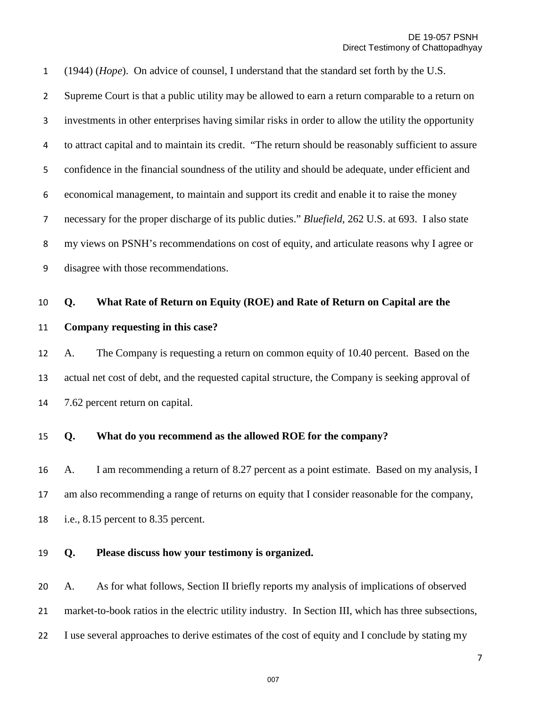(1944) (*Hope*). On advice of counsel, I understand that the standard set forth by the U.S. Supreme Court is that a public utility may be allowed to earn a return comparable to a return on investments in other enterprises having similar risks in order to allow the utility the opportunity to attract capital and to maintain its credit. "The return should be reasonably sufficient to assure confidence in the financial soundness of the utility and should be adequate, under efficient and economical management, to maintain and support its credit and enable it to raise the money necessary for the proper discharge of its public duties." *Bluefield*, 262 U.S. at 693. I also state my views on PSNH's recommendations on cost of equity, and articulate reasons why I agree or disagree with those recommendations.

#### **Q. What Rate of Return on Equity (ROE) and Rate of Return on Capital are the**

#### **Company requesting in this case?**

 A. The Company is requesting a return on common equity of 10.40 percent. Based on the actual net cost of debt, and the requested capital structure, the Company is seeking approval of 7.62 percent return on capital.

#### **Q. What do you recommend as the allowed ROE for the company?**

 A. I am recommending a return of 8.27 percent as a point estimate. Based on my analysis, I am also recommending a range of returns on equity that I consider reasonable for the company, i.e., 8.15 percent to 8.35 percent.

#### **Q. Please discuss how your testimony is organized.**

 A. As for what follows, Section II briefly reports my analysis of implications of observed market-to-book ratios in the electric utility industry. In Section III, which has three subsections, I use several approaches to derive estimates of the cost of equity and I conclude by stating my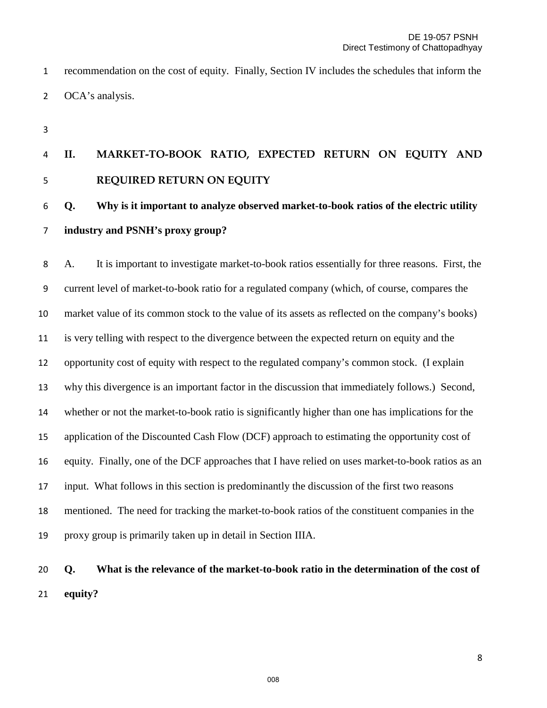recommendation on the cost of equity. Finally, Section IV includes the schedules that inform the 2 OCA's analysis.

# **II. MARKET-TO-BOOK RATIO, EXPECTED RETURN ON EQUITY AND REQUIRED RETURN ON EQUITY**

## **Q. Why is it important to analyze observed market-to-book ratios of the electric utility industry and PSNH's proxy group?**

A. It is important to investigate market-to-book ratios essentially for three reasons. First, the current level of market-to-book ratio for a regulated company (which, of course, compares the market value of its common stock to the value of its assets as reflected on the company's books) is very telling with respect to the divergence between the expected return on equity and the opportunity cost of equity with respect to the regulated company's common stock. (I explain why this divergence is an important factor in the discussion that immediately follows.) Second, whether or not the market-to-book ratio is significantly higher than one has implications for the application of the Discounted Cash Flow (DCF) approach to estimating the opportunity cost of equity. Finally, one of the DCF approaches that I have relied on uses market-to-book ratios as an input. What follows in this section is predominantly the discussion of the first two reasons mentioned. The need for tracking the market-to-book ratios of the constituent companies in the proxy group is primarily taken up in detail in Section IIIA.

# **Q. What is the relevance of the market-to-book ratio in the determination of the cost of equity?**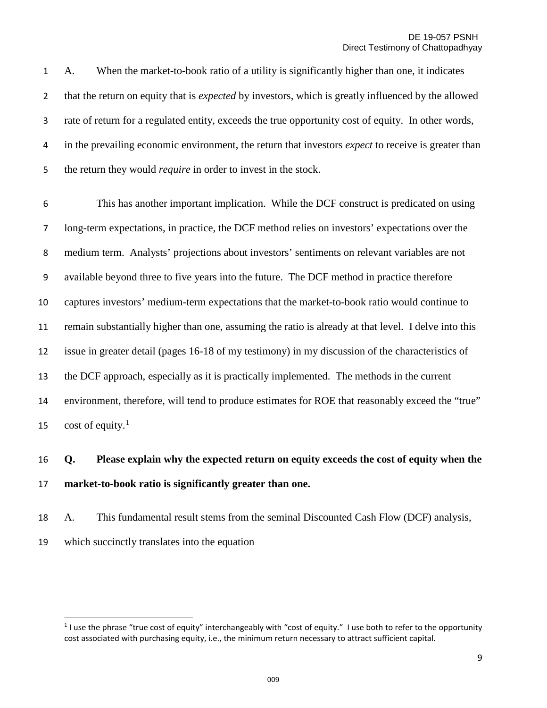A. When the market-to-book ratio of a utility is significantly higher than one, it indicates that the return on equity that is *expected* by investors, which is greatly influenced by the allowed rate of return for a regulated entity, exceeds the true opportunity cost of equity. In other words, in the prevailing economic environment, the return that investors *expect* to receive is greater than the return they would *require* in order to invest in the stock.

This has another important implication. While the DCF construct is predicated on using long-term expectations, in practice, the DCF method relies on investors' expectations over the medium term. Analysts' projections about investors' sentiments on relevant variables are not available beyond three to five years into the future. The DCF method in practice therefore captures investors' medium-term expectations that the market-to-book ratio would continue to remain substantially higher than one, assuming the ratio is already at that level. I delve into this issue in greater detail (pages 16-18 of my testimony) in my discussion of the characteristics of the DCF approach, especially as it is practically implemented. The methods in the current environment, therefore, will tend to produce estimates for ROE that reasonably exceed the "true" 5 cost of equity.<sup>1</sup>

## **Q. Please explain why the expected return on equity exceeds the cost of equity when the market-to-book ratio is significantly greater than one.**

 A. This fundamental result stems from the seminal Discounted Cash Flow (DCF) analysis, which succinctly translates into the equation

 $\overline{a}$ 

<span id="page-8-0"></span> I use the phrase "true cost of equity" interchangeably with "cost of equity." I use both to refer to the opportunity cost associated with purchasing equity, i.e., the minimum return necessary to attract sufficient capital.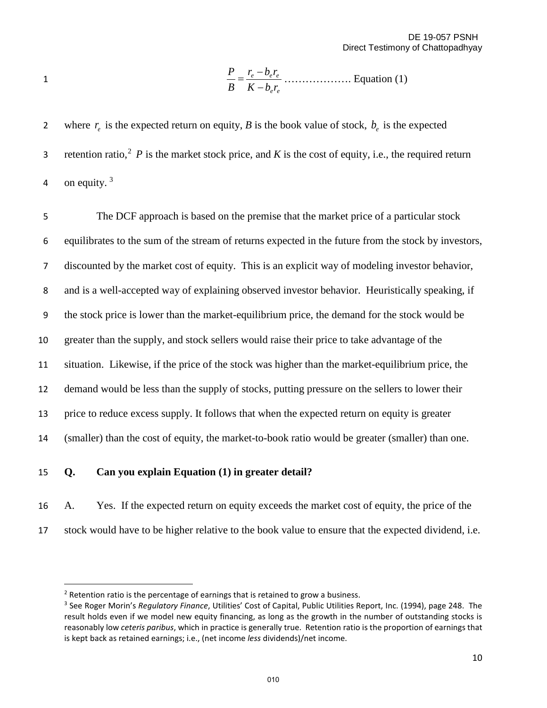*ee eee rbK rbr B P* − <sup>−</sup> <sup>1</sup><sup>=</sup> ………………. Equation (1)

2 where  $r_e$  is the expected return on equity, *B* is the book value of stock,  $b_e$  is the expected 3 retention ratio,  $2 \cdot P$  $2 \cdot P$  is the market stock price, and *K* is the cost of equity, i.e., the required return 4 on equity.  $3$ 

The DCF approach is based on the premise that the market price of a particular stock equilibrates to the sum of the stream of returns expected in the future from the stock by investors, discounted by the market cost of equity. This is an explicit way of modeling investor behavior, and is a well-accepted way of explaining observed investor behavior. Heuristically speaking, if the stock price is lower than the market-equilibrium price, the demand for the stock would be greater than the supply, and stock sellers would raise their price to take advantage of the situation. Likewise, if the price of the stock was higher than the market-equilibrium price, the demand would be less than the supply of stocks, putting pressure on the sellers to lower their price to reduce excess supply. It follows that when the expected return on equity is greater (smaller) than the cost of equity, the market-to-book ratio would be greater (smaller) than one.

### 15 **Q. Can you explain Equation (1) in greater detail?**

 $\overline{a}$ 

16 A. Yes. If the expected return on equity exceeds the market cost of equity, the price of the 17 stock would have to be higher relative to the book value to ensure that the expected dividend, i.e.

<span id="page-9-0"></span> $2$  Retention ratio is the percentage of earnings that is retained to grow a business.

<span id="page-9-1"></span><sup>3</sup> See Roger Morin's *Regulatory Finance*, Utilities' Cost of Capital, Public Utilities Report, Inc. (1994), page 248. The result holds even if we model new equity financing, as long as the growth in the number of outstanding stocks is reasonably low *ceteris paribus*, which in practice is generally true. Retention ratio is the proportion of earnings that is kept back as retained earnings; i.e., (net income *less* dividends)/net income.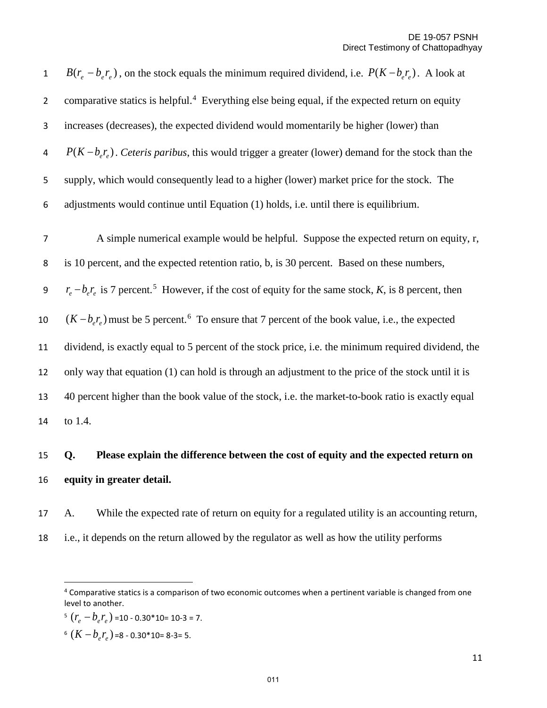| $\mathbf{1}$   | $B(r_e - b_e r_e)$ , on the stock equals the minimum required dividend, i.e. $P(K - b_e r_e)$ . A look at           |
|----------------|---------------------------------------------------------------------------------------------------------------------|
| $\overline{2}$ | comparative statics is helpful. <sup>4</sup> Everything else being equal, if the expected return on equity          |
| 3              | increases (decreases), the expected dividend would momentarily be higher (lower) than                               |
| 4              | $P(K-b_{\rho}r_{\rho})$ . Ceteris paribus, this would trigger a greater (lower) demand for the stock than the       |
| 5              | supply, which would consequently lead to a higher (lower) market price for the stock. The                           |
| 6              | adjustments would continue until Equation (1) holds, i.e. until there is equilibrium.                               |
| $\overline{7}$ | A simple numerical example would be helpful. Suppose the expected return on equity, r,                              |
| 8              | is 10 percent, and the expected retention ratio, b, is 30 percent. Based on these numbers,                          |
| 9              | $r_e - b_e r_e$ is 7 percent. <sup>5</sup> However, if the cost of equity for the same stock, K, is 8 percent, then |
| 10             | $(K - bere)$ must be 5 percent. <sup>6</sup> To ensure that 7 percent of the book value, i.e., the expected         |
| 11             | dividend, is exactly equal to 5 percent of the stock price, i.e. the minimum required dividend, the                 |
| 12             | only way that equation (1) can hold is through an adjustment to the price of the stock until it is                  |
| 13             | 40 percent higher than the book value of the stock, i.e. the market-to-book ratio is exactly equal                  |
| 14             | to 1.4.                                                                                                             |

# **Q. Please explain the difference between the cost of equity and the expected return on equity in greater detail.**

 A. While the expected rate of return on equity for a regulated utility is an accounting return, i.e., it depends on the return allowed by the regulator as well as how the utility performs

 $\overline{a}$ 

<span id="page-10-0"></span><sup>&</sup>lt;sup>4</sup> Comparative statics is a comparison of two economic outcomes when a pertinent variable is changed from one level to another.

<span id="page-10-1"></span> $5 (r_e - b_e r_e) = 10 - 0.30 * 10 = 10 - 3 = 7.$ 

<span id="page-10-2"></span> $^{6}$  ( $K - b_{e}r_{e}$ ) =8 - 0.30\*10= 8-3= 5.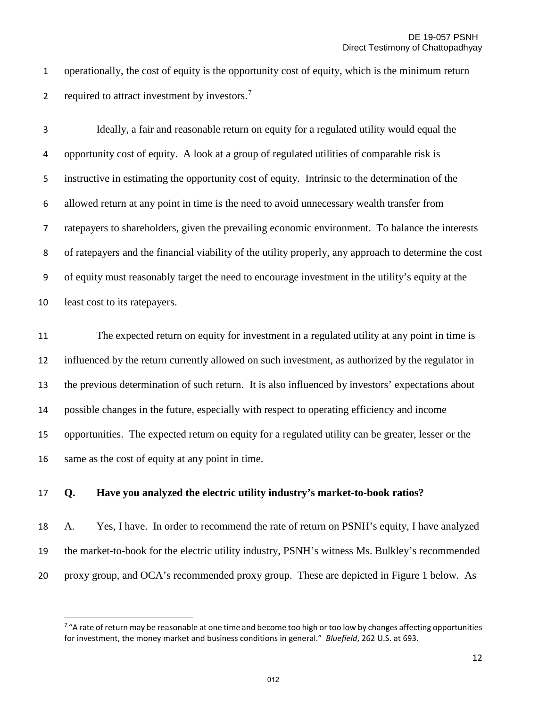operationally, the cost of equity is the opportunity cost of equity, which is the minimum return 2 required to attract investment by investors.<sup>[7](#page-11-0)</sup>

Ideally, a fair and reasonable return on equity for a regulated utility would equal the opportunity cost of equity. A look at a group of regulated utilities of comparable risk is instructive in estimating the opportunity cost of equity. Intrinsic to the determination of the allowed return at any point in time is the need to avoid unnecessary wealth transfer from ratepayers to shareholders, given the prevailing economic environment. To balance the interests of ratepayers and the financial viability of the utility properly, any approach to determine the cost of equity must reasonably target the need to encourage investment in the utility's equity at the least cost to its ratepayers.

 The expected return on equity for investment in a regulated utility at any point in time is influenced by the return currently allowed on such investment, as authorized by the regulator in the previous determination of such return. It is also influenced by investors' expectations about possible changes in the future, especially with respect to operating efficiency and income opportunities. The expected return on equity for a regulated utility can be greater, lesser or the same as the cost of equity at any point in time.

#### **Q. Have you analyzed the electric utility industry's market-to-book ratios?**

 $\overline{a}$ 

 A. Yes, I have. In order to recommend the rate of return on PSNH's equity, I have analyzed the market-to-book for the electric utility industry, PSNH's witness Ms. Bulkley's recommended proxy group, and OCA's recommended proxy group. These are depicted in Figure 1 below. As

<span id="page-11-0"></span> "A rate of return may be reasonable at one time and become too high or too low by changes affecting opportunities for investment, the money market and business conditions in general." *Bluefield*, 262 U.S. at 693.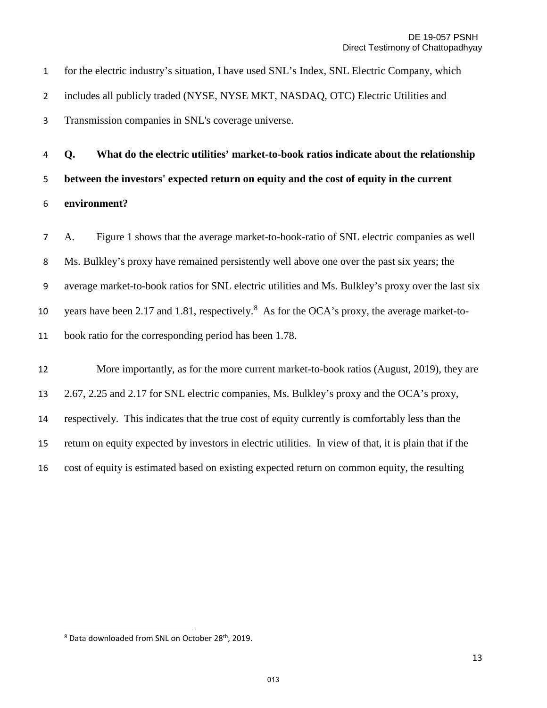for the electric industry's situation, I have used SNL's Index, SNL Electric Company, which includes all publicly traded (NYSE, NYSE MKT, NASDAQ, OTC) Electric Utilities and Transmission companies in SNL's coverage universe.

**Q. What do the electric utilities' market-to-book ratios indicate about the relationship between the investors' expected return on equity and the cost of equity in the current environment?** 

A. Figure 1 shows that the average market-to-book-ratio of SNL electric companies as well Ms. Bulkley's proxy have remained persistently well above one over the past six years; the average market-to-book ratios for SNL electric utilities and Ms. Bulkley's proxy over the last six 10 vears have been 2.17 and 1.[8](#page-12-0)1, respectively.<sup>8</sup> As for the OCA's proxy, the average market-to-book ratio for the corresponding period has been 1.78.

12 More importantly, as for the more current market-to-book ratios (August, 2019), they are 2.67, 2.25 and 2.17 for SNL electric companies, Ms. Bulkley's proxy and the OCA's proxy, respectively. This indicates that the true cost of equity currently is comfortably less than the return on equity expected by investors in electric utilities. In view of that, it is plain that if the cost of equity is estimated based on existing expected return on common equity, the resulting

l

<span id="page-12-0"></span><sup>&</sup>lt;sup>8</sup> Data downloaded from SNL on October 28<sup>th</sup>, 2019.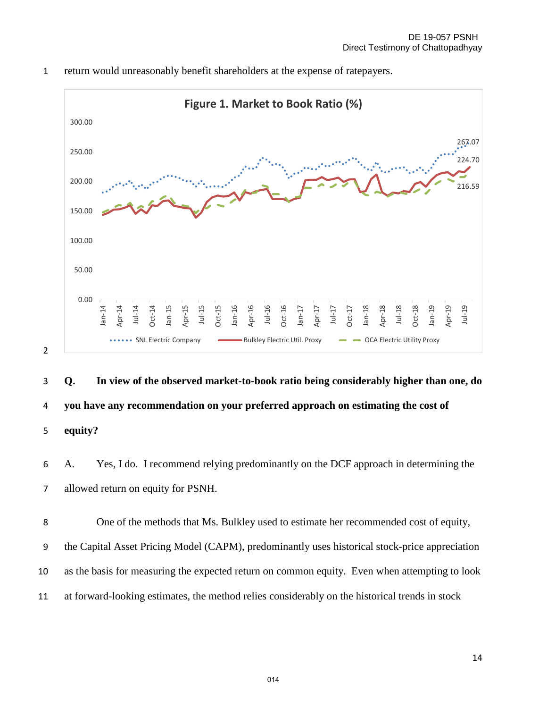

1 return would unreasonably benefit shareholders at the expense of ratepayers.



6 A. Yes, I do. I recommend relying predominantly on the DCF approach in determining the 7 allowed return on equity for PSNH.

One of the methods that Ms. Bulkley used to estimate her recommended cost of equity, the Capital Asset Pricing Model (CAPM), predominantly uses historical stock-price appreciation as the basis for measuring the expected return on common equity. Even when attempting to look at forward-looking estimates, the method relies considerably on the historical trends in stock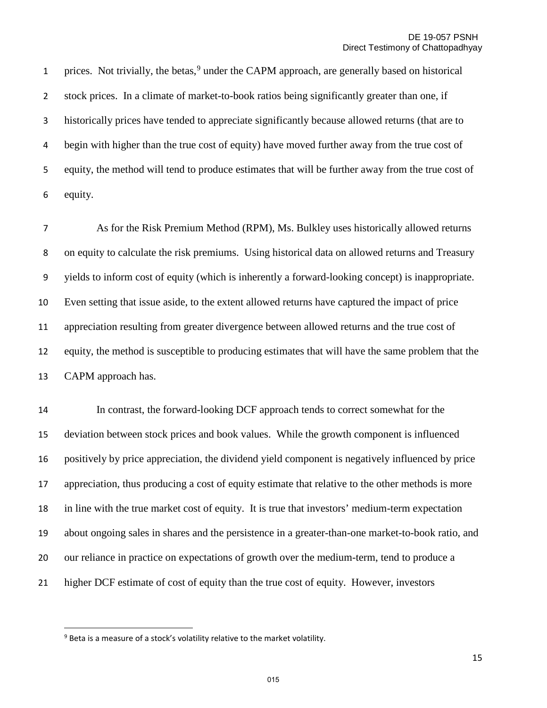1 prices. Not trivially, the betas, under the CAPM approach, are generally based on historical stock prices. In a climate of market-to-book ratios being significantly greater than one, if historically prices have tended to appreciate significantly because allowed returns (that are to begin with higher than the true cost of equity) have moved further away from the true cost of equity, the method will tend to produce estimates that will be further away from the true cost of equity.

As for the Risk Premium Method (RPM), Ms. Bulkley uses historically allowed returns on equity to calculate the risk premiums. Using historical data on allowed returns and Treasury yields to inform cost of equity (which is inherently a forward-looking concept) is inappropriate. Even setting that issue aside, to the extent allowed returns have captured the impact of price appreciation resulting from greater divergence between allowed returns and the true cost of equity, the method is susceptible to producing estimates that will have the same problem that the CAPM approach has.

 In contrast, the forward-looking DCF approach tends to correct somewhat for the deviation between stock prices and book values. While the growth component is influenced positively by price appreciation, the dividend yield component is negatively influenced by price appreciation, thus producing a cost of equity estimate that relative to the other methods is more in line with the true market cost of equity. It is true that investors' medium-term expectation about ongoing sales in shares and the persistence in a greater-than-one market-to-book ratio, and our reliance in practice on expectations of growth over the medium-term, tend to produce a higher DCF estimate of cost of equity than the true cost of equity. However, investors

l

<span id="page-14-0"></span>Beta is a measure of a stock's volatility relative to the market volatility.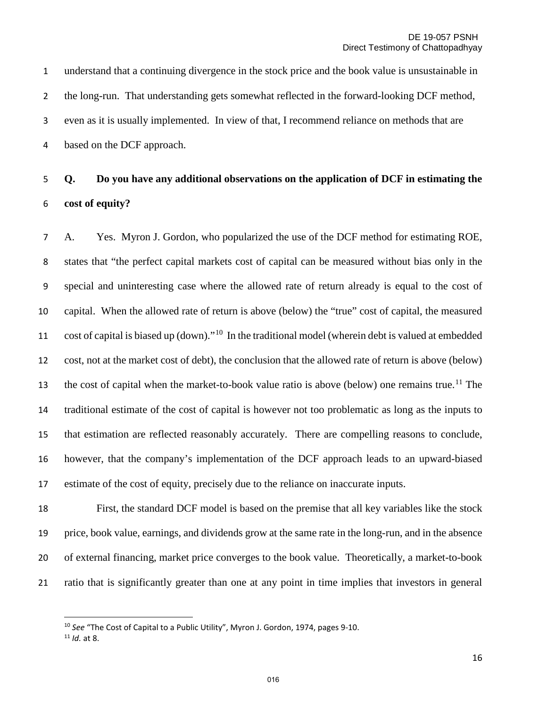understand that a continuing divergence in the stock price and the book value is unsustainable in the long-run. That understanding gets somewhat reflected in the forward-looking DCF method, even as it is usually implemented. In view of that, I recommend reliance on methods that are based on the DCF approach.

# **Q. Do you have any additional observations on the application of DCF in estimating the cost of equity?**

A. Yes. Myron J. Gordon, who popularized the use of the DCF method for estimating ROE, states that "the perfect capital markets cost of capital can be measured without bias only in the special and uninteresting case where the allowed rate of return already is equal to the cost of capital. When the allowed rate of return is above (below) the "true" cost of capital, the measured 11 cost of capital is biased up (down)."<sup>[10](#page-15-0)</sup> In the traditional model (wherein debt is valued at embedded cost, not at the market cost of debt), the conclusion that the allowed rate of return is above (below) 13 the cost of capital when the market-to-book value ratio is above (below) one remains true.<sup>[11](#page-15-1)</sup> The traditional estimate of the cost of capital is however not too problematic as long as the inputs to that estimation are reflected reasonably accurately. There are compelling reasons to conclude, however, that the company's implementation of the DCF approach leads to an upward-biased estimate of the cost of equity, precisely due to the reliance on inaccurate inputs.

 First, the standard DCF model is based on the premise that all key variables like the stock price, book value, earnings, and dividends grow at the same rate in the long-run, and in the absence of external financing, market price converges to the book value. Theoretically, a market-to-book ratio that is significantly greater than one at any point in time implies that investors in general

 $\overline{a}$ 

<span id="page-15-1"></span><span id="page-15-0"></span> *See* "The Cost of Capital to a Public Utility", Myron J. Gordon, 1974, pages 9-10. *Id.* at 8.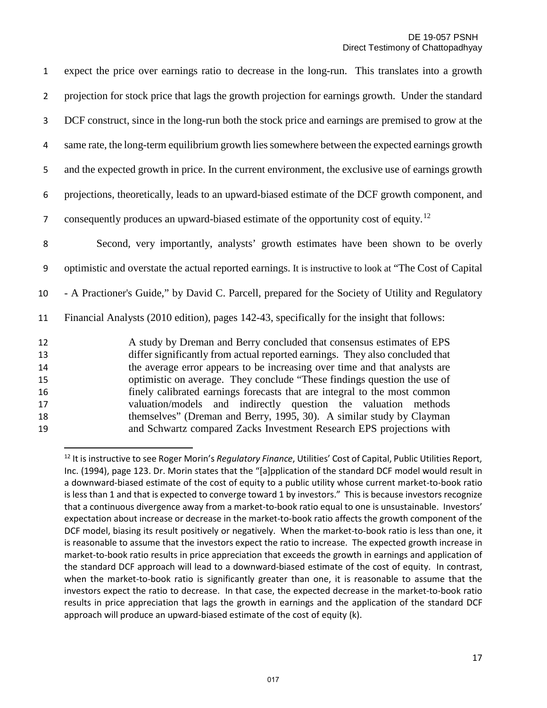| $\mathbf{1}$   | expect the price over earnings ratio to decrease in the long-run. This translates into a growth                                                                                                                                     |
|----------------|-------------------------------------------------------------------------------------------------------------------------------------------------------------------------------------------------------------------------------------|
| $\overline{2}$ | projection for stock price that lags the growth projection for earnings growth. Under the standard                                                                                                                                  |
| 3              | DCF construct, since in the long-run both the stock price and earnings are premised to grow at the                                                                                                                                  |
| 4              | same rate, the long-term equilibrium growth lies somewhere between the expected earnings growth                                                                                                                                     |
| 5              | and the expected growth in price. In the current environment, the exclusive use of earnings growth                                                                                                                                  |
| 6              | projections, theoretically, leads to an upward-biased estimate of the DCF growth component, and                                                                                                                                     |
| 7              | consequently produces an upward-biased estimate of the opportunity cost of equity. <sup>12</sup>                                                                                                                                    |
| 8              | Second, very importantly, analysts' growth estimates have been shown to be overly                                                                                                                                                   |
| 9              | optimistic and overstate the actual reported earnings. It is instructive to look at "The Cost of Capital                                                                                                                            |
| 10             | - A Practioner's Guide," by David C. Parcell, prepared for the Society of Utility and Regulatory                                                                                                                                    |
| 11             | Financial Analysts (2010 edition), pages 142-43, specifically for the insight that follows:                                                                                                                                         |
| 12<br>13<br>14 | A study by Dreman and Berry concluded that consensus estimates of EPS<br>differ significantly from actual reported earnings. They also concluded that<br>the average error appears to be increasing over time and that analysts are |
| 15<br>16<br>17 | optimistic on average. They conclude "These findings question the use of<br>finely calibrated earnings forecasts that are integral to the most common<br>valuation/models and indirectly question the valuation methods             |
| 18<br>19       | themselves" (Dreman and Berry, 1995, 30). A similar study by Clayman<br>and Schwartz compared Zacks Investment Research EPS projections with                                                                                        |

<span id="page-16-0"></span><sup>12</sup> It is instructive to see Roger Morin's *Regulatory Finance*, Utilities' Cost of Capital, Public Utilities Report, Inc. (1994), page 123. Dr. Morin states that the "[a]pplication of the standard DCF model would result in a downward-biased estimate of the cost of equity to a public utility whose current market-to-book ratio is less than 1 and that is expected to converge toward 1 by investors." This is because investors recognize that a continuous divergence away from a market-to-book ratio equal to one is unsustainable. Investors' expectation about increase or decrease in the market-to-book ratio affects the growth component of the DCF model, biasing its result positively or negatively. When the market-to-book ratio is less than one, it is reasonable to assume that the investors expect the ratio to increase. The expected growth increase in market-to-book ratio results in price appreciation that exceeds the growth in earnings and application of the standard DCF approach will lead to a downward-biased estimate of the cost of equity. In contrast, when the market-to-book ratio is significantly greater than one, it is reasonable to assume that the investors expect the ratio to decrease. In that case, the expected decrease in the market-to-book ratio results in price appreciation that lags the growth in earnings and the application of the standard DCF approach will produce an upward-biased estimate of the cost of equity (k).

l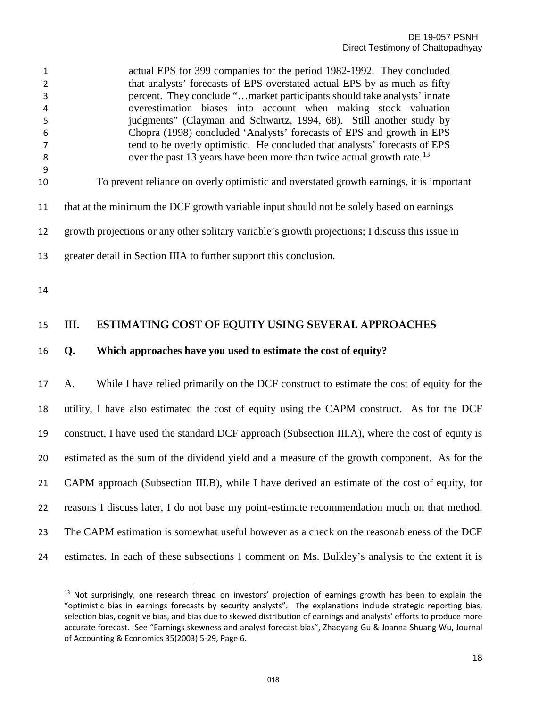| 1<br>2<br>3<br>4<br>5<br>6 |                                                                                                                                                                  | actual EPS for 399 companies for the period 1982-1992. They concluded<br>that analysts' forecasts of EPS overstated actual EPS by as much as fifty<br>percent. They conclude "market participants should take analysts' innate<br>overestimation biases into account when making stock valuation<br>judgments" (Clayman and Schwartz, 1994, 68). Still another study by<br>Chopra (1998) concluded 'Analysts' forecasts of EPS and growth in EPS |  |  |
|----------------------------|------------------------------------------------------------------------------------------------------------------------------------------------------------------|--------------------------------------------------------------------------------------------------------------------------------------------------------------------------------------------------------------------------------------------------------------------------------------------------------------------------------------------------------------------------------------------------------------------------------------------------|--|--|
| 7<br>8                     | tend to be overly optimistic. He concluded that analysts' forecasts of EPS<br>over the past 13 years have been more than twice actual growth rate. <sup>13</sup> |                                                                                                                                                                                                                                                                                                                                                                                                                                                  |  |  |
| 9                          |                                                                                                                                                                  |                                                                                                                                                                                                                                                                                                                                                                                                                                                  |  |  |
| 10                         |                                                                                                                                                                  | To prevent reliance on overly optimistic and overstated growth earnings, it is important                                                                                                                                                                                                                                                                                                                                                         |  |  |
|                            |                                                                                                                                                                  |                                                                                                                                                                                                                                                                                                                                                                                                                                                  |  |  |
| 11                         | that at the minimum the DCF growth variable input should not be solely based on earnings                                                                         |                                                                                                                                                                                                                                                                                                                                                                                                                                                  |  |  |
| 12                         | growth projections or any other solitary variable's growth projections; I discuss this issue in                                                                  |                                                                                                                                                                                                                                                                                                                                                                                                                                                  |  |  |
| 13                         | greater detail in Section IIIA to further support this conclusion.                                                                                               |                                                                                                                                                                                                                                                                                                                                                                                                                                                  |  |  |
|                            |                                                                                                                                                                  |                                                                                                                                                                                                                                                                                                                                                                                                                                                  |  |  |
| 14                         |                                                                                                                                                                  |                                                                                                                                                                                                                                                                                                                                                                                                                                                  |  |  |
| 15                         | III.                                                                                                                                                             | ESTIMATING COST OF EQUITY USING SEVERAL APPROACHES                                                                                                                                                                                                                                                                                                                                                                                               |  |  |
| 16                         | Q.                                                                                                                                                               | Which approaches have you used to estimate the cost of equity?                                                                                                                                                                                                                                                                                                                                                                                   |  |  |
|                            |                                                                                                                                                                  |                                                                                                                                                                                                                                                                                                                                                                                                                                                  |  |  |
|                            |                                                                                                                                                                  |                                                                                                                                                                                                                                                                                                                                                                                                                                                  |  |  |

 A. While I have relied primarily on the DCF construct to estimate the cost of equity for the utility, I have also estimated the cost of equity using the CAPM construct. As for the DCF construct, I have used the standard DCF approach (Subsection III.A), where the cost of equity is estimated as the sum of the dividend yield and a measure of the growth component. As for the CAPM approach (Subsection III.B), while I have derived an estimate of the cost of equity, for reasons I discuss later, I do not base my point-estimate recommendation much on that method. The CAPM estimation is somewhat useful however as a check on the reasonableness of the DCF estimates. In each of these subsections I comment on Ms. Bulkley's analysis to the extent it is

 $\overline{a}$ 

<span id="page-17-0"></span><sup>&</sup>lt;sup>13</sup> Not surprisingly, one research thread on investors' projection of earnings growth has been to explain the "optimistic bias in earnings forecasts by security analysts". The explanations include strategic reporting bias, selection bias, cognitive bias, and bias due to skewed distribution of earnings and analysts' efforts to produce more accurate forecast. See "Earnings skewness and analyst forecast bias", Zhaoyang Gu & Joanna Shuang Wu, Journal of Accounting & Economics 35(2003) 5-29, Page 6.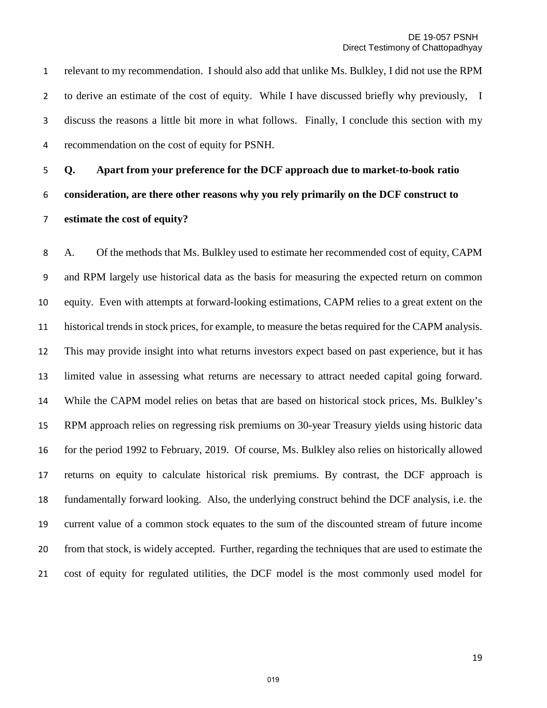relevant to my recommendation. I should also add that unlike Ms. Bulkley, I did not use the RPM to derive an estimate of the cost of equity. While I have discussed briefly why previously, I discuss the reasons a little bit more in what follows. Finally, I conclude this section with my recommendation on the cost of equity for PSNH.

**Q. Apart from your preference for the DCF approach due to market-to-book ratio consideration, are there other reasons why you rely primarily on the DCF construct to estimate the cost of equity?**

A. Of the methods that Ms. Bulkley used to estimate her recommended cost of equity, CAPM and RPM largely use historical data as the basis for measuring the expected return on common equity. Even with attempts at forward-looking estimations, CAPM relies to a great extent on the historical trends in stock prices, for example, to measure the betas required for the CAPM analysis. This may provide insight into what returns investors expect based on past experience, but it has limited value in assessing what returns are necessary to attract needed capital going forward. While the CAPM model relies on betas that are based on historical stock prices, Ms. Bulkley's RPM approach relies on regressing risk premiums on 30-year Treasury yields using historic data for the period 1992 to February, 2019. Of course, Ms. Bulkley also relies on historically allowed returns on equity to calculate historical risk premiums. By contrast, the DCF approach is fundamentally forward looking. Also, the underlying construct behind the DCF analysis, i.e. the current value of a common stock equates to the sum of the discounted stream of future income from that stock, is widely accepted. Further, regarding the techniques that are used to estimate the cost of equity for regulated utilities, the DCF model is the most commonly used model for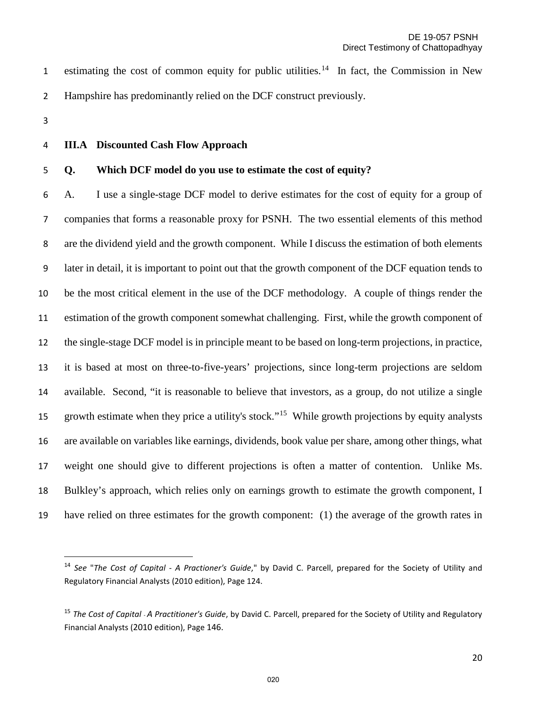1 estimating the cost of common equity for public utilities.<sup>[14](#page-19-0)</sup> In fact, the Commission in New Hampshire has predominantly relied on the DCF construct previously.

- 
- 

 $\overline{\phantom{a}}$ 

#### **III.A Discounted Cash Flow Approach**

#### **Q. Which DCF model do you use to estimate the cost of equity?**

A. I use a single-stage DCF model to derive estimates for the cost of equity for a group of companies that forms a reasonable proxy for PSNH. The two essential elements of this method are the dividend yield and the growth component. While I discuss the estimation of both elements later in detail, it is important to point out that the growth component of the DCF equation tends to be the most critical element in the use of the DCF methodology. A couple of things render the estimation of the growth component somewhat challenging. First, while the growth component of the single-stage DCF model is in principle meant to be based on long-term projections, in practice, it is based at most on three-to-five-years' projections, since long-term projections are seldom available. Second, "it is reasonable to believe that investors, as a group, do not utilize a single growth estimate when they price a utility's stock."<sup>15</sup> While growth projections by equity analysts are available on variables like earnings, dividends, book value per share, among other things, what weight one should give to different projections is often a matter of contention. Unlike Ms. Bulkley's approach, which relies only on earnings growth to estimate the growth component, I have relied on three estimates for the growth component: (1) the average of the growth rates in

<span id="page-19-0"></span> *See* "*The Cost of Capital - A Practioner's Guide*," by David C. Parcell, prepared for the Society of Utility and Regulatory Financial Analysts (2010 edition), Page 124.

<span id="page-19-1"></span> *The Cost of Capital - A Practitioner's Guide*, by David C. Parcell, prepared for the Society of Utility and Regulatory Financial Analysts (2010 edition), Page 146.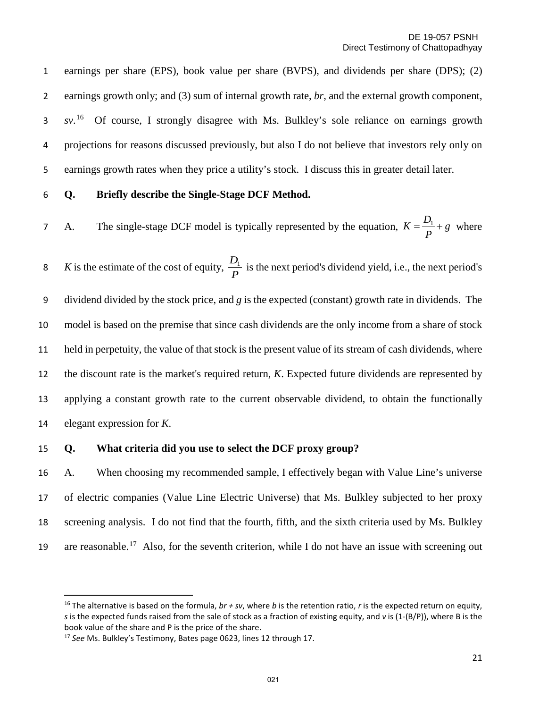earnings per share (EPS), book value per share (BVPS), and dividends per share (DPS); (2) earnings growth only; and (3) sum of internal growth rate, *br*, and the external growth component, 3 sv.<sup>[16](#page-20-0)</sup> Of course, I strongly disagree with Ms. Bulkley's sole reliance on earnings growth projections for reasons discussed previously, but also I do not believe that investors rely only on earnings growth rates when they price a utility's stock. I discuss this in greater detail later.

#### **Q. Briefly describe the Single-Stage DCF Method.**

7 A. The single-stage DCF model is typically represented by the equation,  $K = \frac{D_1}{P} + g$  where

*K* is the estimate of the cost of equity,  $\frac{E_1}{P}$  is the next period's dividend yield, i.e., the next period's dividend divided by the stock price, and *g* is the expected (constant) growth rate in dividends. The model is based on the premise that since cash dividends are the only income from a share of stock held in perpetuity, the value of that stock is the present value of its stream of cash dividends, where the discount rate is the market's required return, *K*. Expected future dividends are represented by applying a constant growth rate to the current observable dividend, to obtain the functionally elegant expression for *K*.  $D<sub>1</sub>$ 

#### **Q. What criteria did you use to select the DCF proxy group?**

 A. When choosing my recommended sample, I effectively began with Value Line's universe of electric companies (Value Line Electric Universe) that Ms. Bulkley subjected to her proxy screening analysis. I do not find that the fourth, fifth, and the sixth criteria used by Ms. Bulkley 19 are reasonable.<sup>[17](#page-20-1)</sup> Also, for the seventh criterion, while I do not have an issue with screening out

 $\overline{\phantom{a}}$ 

<span id="page-20-0"></span><sup>&</sup>lt;sup>16</sup> The alternative is based on the formula,  $br + sv$ , where *b* is the retention ratio, *r* is the expected return on equity, *s* is the expected funds raised from the sale of stock as a fraction of existing equity, and *v* is (1-(B/P)), where B is the book value of the share and P is the price of the share. 17 *See* Ms. Bulkley's Testimony, Bates page 0623, lines 12 through 17.

<span id="page-20-1"></span>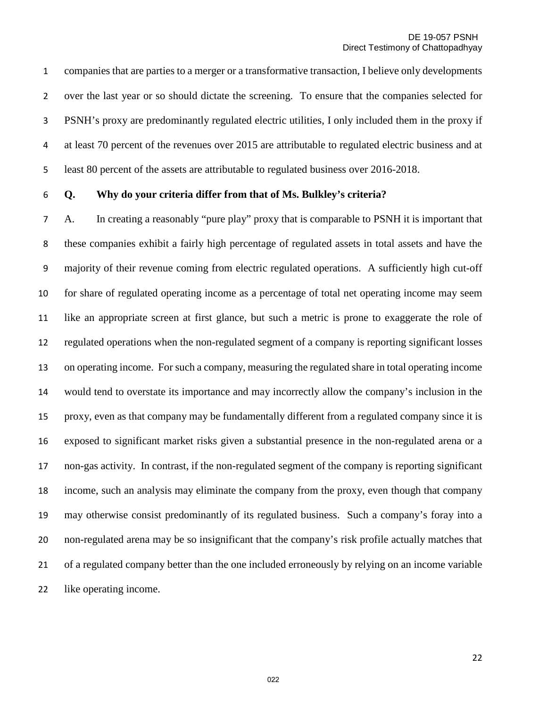companies that are parties to a merger or a transformative transaction, I believe only developments over the last year or so should dictate the screening. To ensure that the companies selected for PSNH's proxy are predominantly regulated electric utilities, I only included them in the proxy if at least 70 percent of the revenues over 2015 are attributable to regulated electric business and at least 80 percent of the assets are attributable to regulated business over 2016-2018.

#### **Q. Why do your criteria differ from that of Ms. Bulkley's criteria?**

A. In creating a reasonably "pure play" proxy that is comparable to PSNH it is important that these companies exhibit a fairly high percentage of regulated assets in total assets and have the majority of their revenue coming from electric regulated operations. A sufficiently high cut-off for share of regulated operating income as a percentage of total net operating income may seem like an appropriate screen at first glance, but such a metric is prone to exaggerate the role of regulated operations when the non-regulated segment of a company is reporting significant losses on operating income. For such a company, measuring the regulated share in total operating income would tend to overstate its importance and may incorrectly allow the company's inclusion in the proxy, even as that company may be fundamentally different from a regulated company since it is exposed to significant market risks given a substantial presence in the non-regulated arena or a non-gas activity. In contrast, if the non-regulated segment of the company is reporting significant income, such an analysis may eliminate the company from the proxy, even though that company may otherwise consist predominantly of its regulated business. Such a company's foray into a non-regulated arena may be so insignificant that the company's risk profile actually matches that of a regulated company better than the one included erroneously by relying on an income variable like operating income.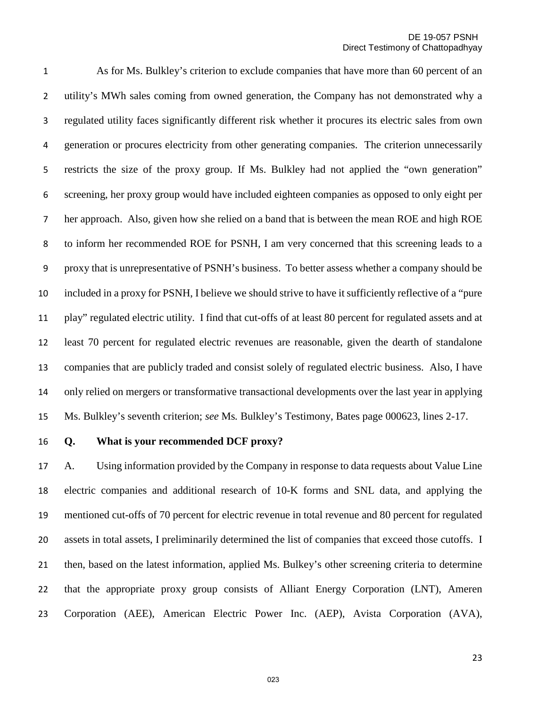As for Ms. Bulkley's criterion to exclude companies that have more than 60 percent of an utility's MWh sales coming from owned generation, the Company has not demonstrated why a regulated utility faces significantly different risk whether it procures its electric sales from own generation or procures electricity from other generating companies. The criterion unnecessarily restricts the size of the proxy group. If Ms. Bulkley had not applied the "own generation" screening, her proxy group would have included eighteen companies as opposed to only eight per her approach. Also, given how she relied on a band that is between the mean ROE and high ROE to inform her recommended ROE for PSNH, I am very concerned that this screening leads to a proxy that is unrepresentative of PSNH's business. To better assess whether a company should be included in a proxy for PSNH, I believe we should strive to have it sufficiently reflective of a "pure play" regulated electric utility. I find that cut-offs of at least 80 percent for regulated assets and at least 70 percent for regulated electric revenues are reasonable, given the dearth of standalone companies that are publicly traded and consist solely of regulated electric business. Also, I have only relied on mergers or transformative transactional developments over the last year in applying Ms. Bulkley's seventh criterion; *see* Ms*.* Bulkley's Testimony, Bates page 000623, lines 2-17.

#### **Q. What is your recommended DCF proxy?**

 A. Using information provided by the Company in response to data requests about Value Line electric companies and additional research of 10-K forms and SNL data, and applying the mentioned cut-offs of 70 percent for electric revenue in total revenue and 80 percent for regulated assets in total assets, I preliminarily determined the list of companies that exceed those cutoffs. I then, based on the latest information, applied Ms. Bulkey's other screening criteria to determine that the appropriate proxy group consists of Alliant Energy Corporation (LNT), Ameren Corporation (AEE), American Electric Power Inc. (AEP), Avista Corporation (AVA),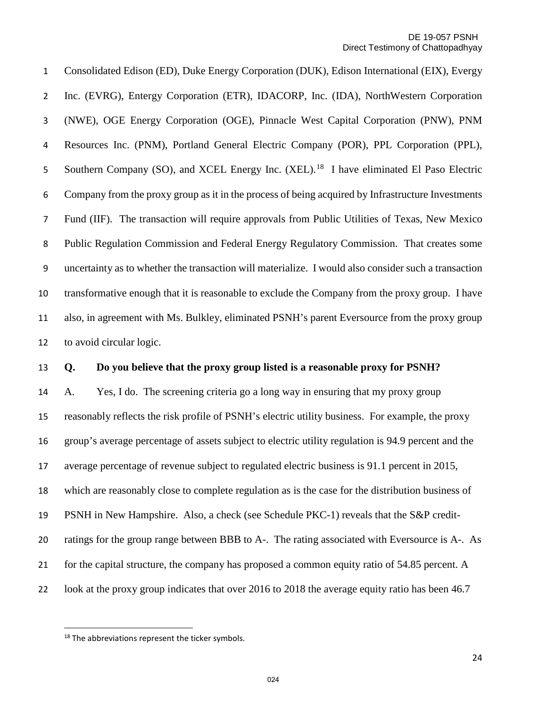Consolidated Edison (ED), Duke Energy Corporation (DUK), Edison International (EIX), Evergy Inc. (EVRG), Entergy Corporation (ETR), IDACORP, Inc. (IDA), NorthWestern Corporation (NWE), OGE Energy Corporation (OGE), Pinnacle West Capital Corporation (PNW), PNM Resources Inc. (PNM), Portland General Electric Company (POR), PPL Corporation (PPL), 5 Southern Company (SO), and XCEL Energy Inc. (XEL).<sup>[18](#page-23-0)</sup> I have eliminated El Paso Electric Company from the proxy group as it in the process of being acquired by Infrastructure Investments Fund (IIF). The transaction will require approvals from Public Utilities of Texas, New Mexico Public Regulation Commission and Federal Energy Regulatory Commission. That creates some uncertainty as to whether the transaction will materialize. I would also consider such a transaction transformative enough that it is reasonable to exclude the Company from the proxy group. I have also, in agreement with Ms. Bulkley, eliminated PSNH's parent Eversource from the proxy group to avoid circular logic.

#### **Q. Do you believe that the proxy group listed is a reasonable proxy for PSNH?**

 A. Yes, I do. The screening criteria go a long way in ensuring that my proxy group reasonably reflects the risk profile of PSNH's electric utility business. For example, the proxy group's average percentage of assets subject to electric utility regulation is 94.9 percent and the average percentage of revenue subject to regulated electric business is 91.1 percent in 2015, which are reasonably close to complete regulation as is the case for the distribution business of PSNH in New Hampshire. Also, a check (see Schedule PKC-1) reveals that the S&P credit- ratings for the group range between BBB to A-. The rating associated with Eversource is A-. As for the capital structure, the company has proposed a common equity ratio of 54.85 percent. A look at the proxy group indicates that over 2016 to 2018 the average equity ratio has been 46.7

l

<span id="page-23-0"></span><sup>&</sup>lt;sup>18</sup> The abbreviations represent the ticker symbols.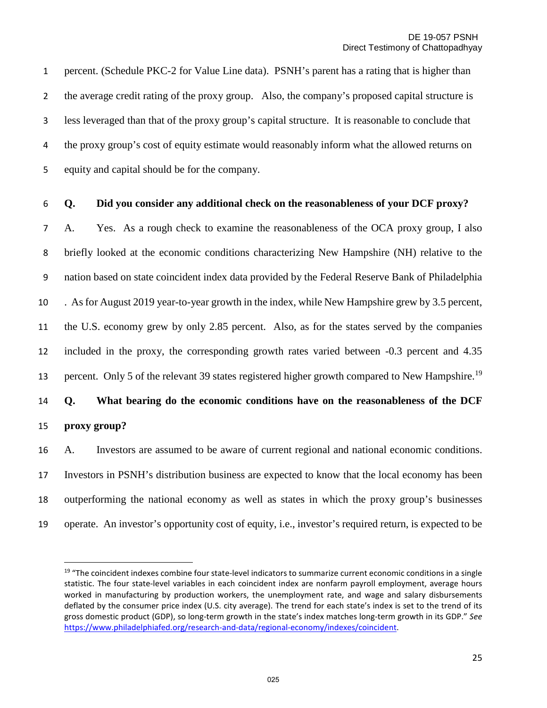percent. (Schedule PKC-2 for Value Line data). PSNH's parent has a rating that is higher than the average credit rating of the proxy group. Also, the company's proposed capital structure is less leveraged than that of the proxy group's capital structure. It is reasonable to conclude that the proxy group's cost of equity estimate would reasonably inform what the allowed returns on equity and capital should be for the company.

#### **Q. Did you consider any additional check on the reasonableness of your DCF proxy?**

A. Yes. As a rough check to examine the reasonableness of the OCA proxy group, I also briefly looked at the economic conditions characterizing New Hampshire (NH) relative to the nation based on state coincident index data provided by the Federal Reserve Bank of Philadelphia . As for August 2019 year-to-year growth in the index, while New Hampshire grew by 3.5 percent, the U.S. economy grew by only 2.85 percent. Also, as for the states served by the companies included in the proxy, the corresponding growth rates varied between -0.3 percent and 4.35 percent. Only 5 of the relevant 39 states registered higher growth compared to New Hampshire.<sup>[19](#page-24-0)</sup> **Q. What bearing do the economic conditions have on the reasonableness of the DCF proxy group?** 

 A. Investors are assumed to be aware of current regional and national economic conditions. Investors in PSNH's distribution business are expected to know that the local economy has been outperforming the national economy as well as states in which the proxy group's businesses operate. An investor's opportunity cost of equity, i.e., investor's required return, is expected to be

l

<span id="page-24-0"></span><sup>&</sup>lt;sup>19</sup> "The coincident indexes combine four state-level indicators to summarize current economic conditions in a single statistic. The four state-level variables in each coincident index are nonfarm payroll employment, average hours worked in manufacturing by production workers, the unemployment rate, and wage and salary disbursements deflated by the consumer price index (U.S. city average). The trend for each state's index is set to the trend of its gross domestic product (GDP), so long-term growth in the state's index matches long-term growth in its GDP." *See* [https://www.philadelphiafed.org/research-and-data/regional-economy/indexes/coincident.](https://www.philadelphiafed.org/research-and-data/regional-economy/indexes/coincident)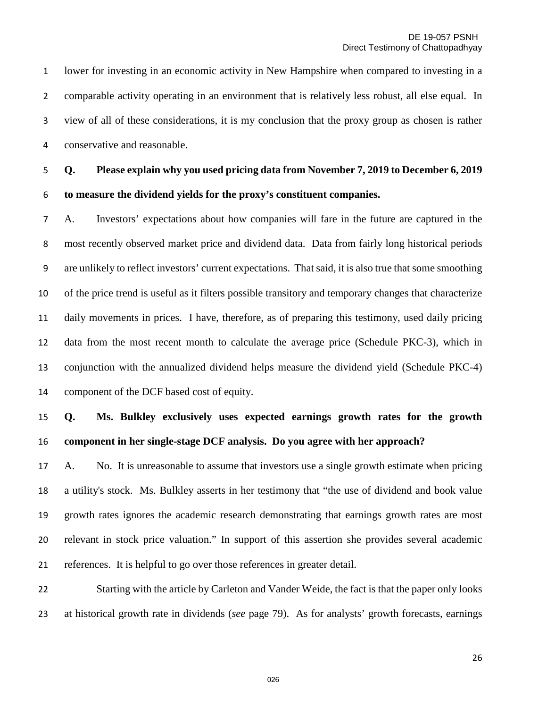lower for investing in an economic activity in New Hampshire when compared to investing in a comparable activity operating in an environment that is relatively less robust, all else equal. In view of all of these considerations, it is my conclusion that the proxy group as chosen is rather conservative and reasonable.

**Q. Please explain why you used pricing data from November 7, 2019 to December 6, 2019 to measure the dividend yields for the proxy's constituent companies.**

A. Investors' expectations about how companies will fare in the future are captured in the most recently observed market price and dividend data. Data from fairly long historical periods are unlikely to reflect investors' current expectations. That said, it is also true that some smoothing of the price trend is useful as it filters possible transitory and temporary changes that characterize daily movements in prices. I have, therefore, as of preparing this testimony, used daily pricing data from the most recent month to calculate the average price (Schedule PKC-3), which in conjunction with the annualized dividend helps measure the dividend yield (Schedule PKC-4) component of the DCF based cost of equity.

## **Q. Ms. Bulkley exclusively uses expected earnings growth rates for the growth component in her single-stage DCF analysis. Do you agree with her approach?**

 A. No. It is unreasonable to assume that investors use a single growth estimate when pricing a utility's stock. Ms. Bulkley asserts in her testimony that "the use of dividend and book value growth rates ignores the academic research demonstrating that earnings growth rates are most relevant in stock price valuation." In support of this assertion she provides several academic references. It is helpful to go over those references in greater detail.

 Starting with the article by Carleton and Vander Weide, the fact is that the paper only looks at historical growth rate in dividends (*see* page 79). As for analysts' growth forecasts, earnings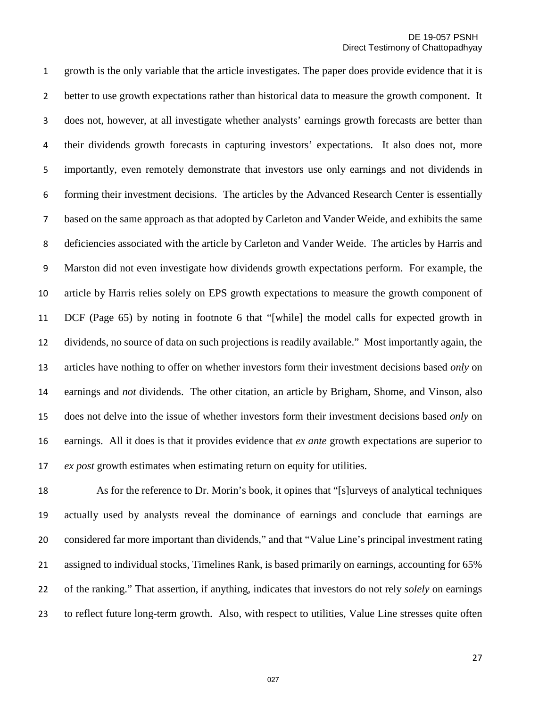growth is the only variable that the article investigates. The paper does provide evidence that it is better to use growth expectations rather than historical data to measure the growth component. It does not, however, at all investigate whether analysts' earnings growth forecasts are better than their dividends growth forecasts in capturing investors' expectations. It also does not, more importantly, even remotely demonstrate that investors use only earnings and not dividends in forming their investment decisions. The articles by the Advanced Research Center is essentially based on the same approach as that adopted by Carleton and Vander Weide, and exhibits the same deficiencies associated with the article by Carleton and Vander Weide. The articles by Harris and Marston did not even investigate how dividends growth expectations perform. For example, the article by Harris relies solely on EPS growth expectations to measure the growth component of DCF (Page 65) by noting in footnote 6 that "[while] the model calls for expected growth in dividends, no source of data on such projections is readily available." Most importantly again, the articles have nothing to offer on whether investors form their investment decisions based *only* on earnings and *not* dividends. The other citation, an article by Brigham, Shome, and Vinson, also does not delve into the issue of whether investors form their investment decisions based *only* on earnings. All it does is that it provides evidence that *ex ante* growth expectations are superior to *ex post* growth estimates when estimating return on equity for utilities.

 As for the reference to Dr. Morin's book, it opines that "[s]urveys of analytical techniques actually used by analysts reveal the dominance of earnings and conclude that earnings are considered far more important than dividends," and that "Value Line's principal investment rating assigned to individual stocks, Timelines Rank, is based primarily on earnings, accounting for 65% of the ranking." That assertion, if anything, indicates that investors do not rely *solely* on earnings to reflect future long-term growth. Also, with respect to utilities, Value Line stresses quite often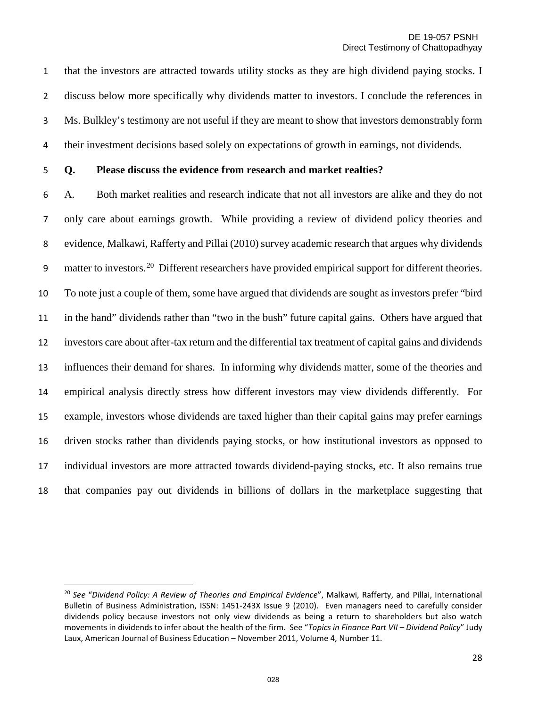that the investors are attracted towards utility stocks as they are high dividend paying stocks. I discuss below more specifically why dividends matter to investors. I conclude the references in Ms. Bulkley's testimony are not useful if they are meant to show that investors demonstrably form their investment decisions based solely on expectations of growth in earnings, not dividends.

 $\overline{a}$ 

#### **Q. Please discuss the evidence from research and market realties?**

A. Both market realities and research indicate that not all investors are alike and they do not only care about earnings growth. While providing a review of dividend policy theories and evidence, Malkawi, Rafferty and Pillai (2010) survey academic research that argues why dividends 9 matter to investors.<sup>[20](#page-27-0)</sup> Different researchers have provided empirical support for different theories. To note just a couple of them, some have argued that dividends are sought as investors prefer "bird in the hand" dividends rather than "two in the bush" future capital gains. Others have argued that investors care about after-tax return and the differential tax treatment of capital gains and dividends influences their demand for shares. In informing why dividends matter, some of the theories and empirical analysis directly stress how different investors may view dividends differently. For example, investors whose dividends are taxed higher than their capital gains may prefer earnings driven stocks rather than dividends paying stocks, or how institutional investors as opposed to individual investors are more attracted towards dividend-paying stocks, etc. It also remains true that companies pay out dividends in billions of dollars in the marketplace suggesting that

<span id="page-27-0"></span> *See* "*Dividend Policy: A Review of Theories and Empirical Evidence*", Malkawi, Rafferty, and Pillai, International Bulletin of Business Administration, ISSN: 1451-243X Issue 9 (2010). Even managers need to carefully consider dividends policy because investors not only view dividends as being a return to shareholders but also watch movements in dividends to infer about the health of the firm. See "*Topics in Finance Part VII – Dividend Policy*" Judy Laux, American Journal of Business Education – November 2011, Volume 4, Number 11.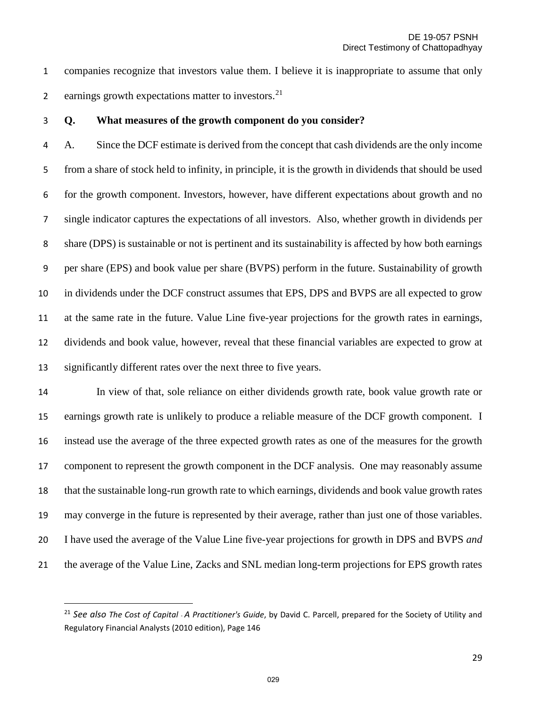companies recognize that investors value them. I believe it is inappropriate to assume that only 2 earnings growth expectations matter to investors.

 $\overline{\phantom{a}}$ 

#### **Q. What measures of the growth component do you consider?**

A. Since the DCF estimate is derived from the concept that cash dividends are the only income from a share of stock held to infinity, in principle, it is the growth in dividends that should be used for the growth component. Investors, however, have different expectations about growth and no single indicator captures the expectations of all investors. Also, whether growth in dividends per share (DPS) is sustainable or not is pertinent and its sustainability is affected by how both earnings per share (EPS) and book value per share (BVPS) perform in the future. Sustainability of growth in dividends under the DCF construct assumes that EPS, DPS and BVPS are all expected to grow at the same rate in the future. Value Line five-year projections for the growth rates in earnings, dividends and book value, however, reveal that these financial variables are expected to grow at significantly different rates over the next three to five years.

 In view of that, sole reliance on either dividends growth rate, book value growth rate or earnings growth rate is unlikely to produce a reliable measure of the DCF growth component. I instead use the average of the three expected growth rates as one of the measures for the growth component to represent the growth component in the DCF analysis. One may reasonably assume that the sustainable long-run growth rate to which earnings, dividends and book value growth rates may converge in the future is represented by their average, rather than just one of those variables. I have used the average of the Value Line five-year projections for growth in DPS and BVPS *and* the average of the Value Line, Zacks and SNL median long-term projections for EPS growth rates

<span id="page-28-0"></span> *See also The Cost of Capital - A Practitioner's Guide*, by David C. Parcell, prepared for the Society of Utility and Regulatory Financial Analysts (2010 edition), Page 146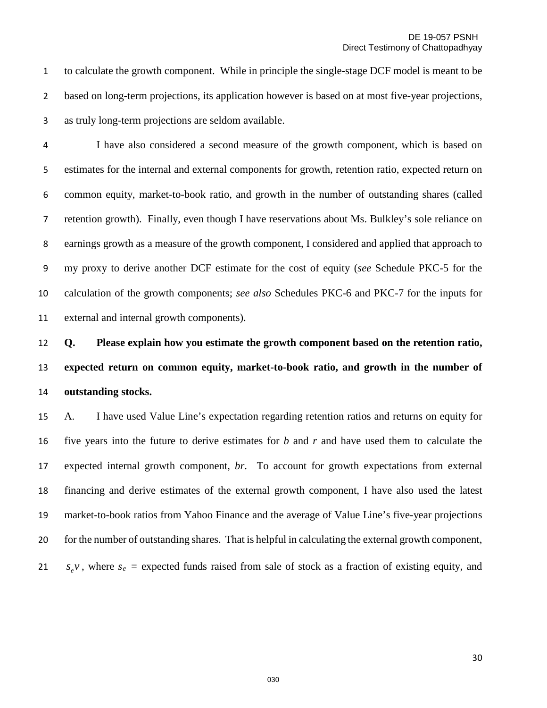to calculate the growth component. While in principle the single-stage DCF model is meant to be based on long-term projections, its application however is based on at most five-year projections, as truly long-term projections are seldom available.

I have also considered a second measure of the growth component, which is based on estimates for the internal and external components for growth, retention ratio, expected return on common equity, market-to-book ratio, and growth in the number of outstanding shares (called retention growth). Finally, even though I have reservations about Ms. Bulkley's sole reliance on earnings growth as a measure of the growth component, I considered and applied that approach to my proxy to derive another DCF estimate for the cost of equity (*see* Schedule PKC-5 for the calculation of the growth components; *see also* Schedules PKC-6 and PKC-7 for the inputs for external and internal growth components).

# **Q. Please explain how you estimate the growth component based on the retention ratio, expected return on common equity, market-to-book ratio, and growth in the number of outstanding stocks.**

 A. I have used Value Line's expectation regarding retention ratios and returns on equity for five years into the future to derive estimates for *b* and *r* and have used them to calculate the expected internal growth component, *br*. To account for growth expectations from external financing and derive estimates of the external growth component, I have also used the latest market-to-book ratios from Yahoo Finance and the average of Value Line's five-year projections for the number of outstanding shares. That is helpful in calculating the external growth component, *s<sub>e</sub>v*, where  $s_e$  = expected funds raised from sale of stock as a fraction of existing equity, and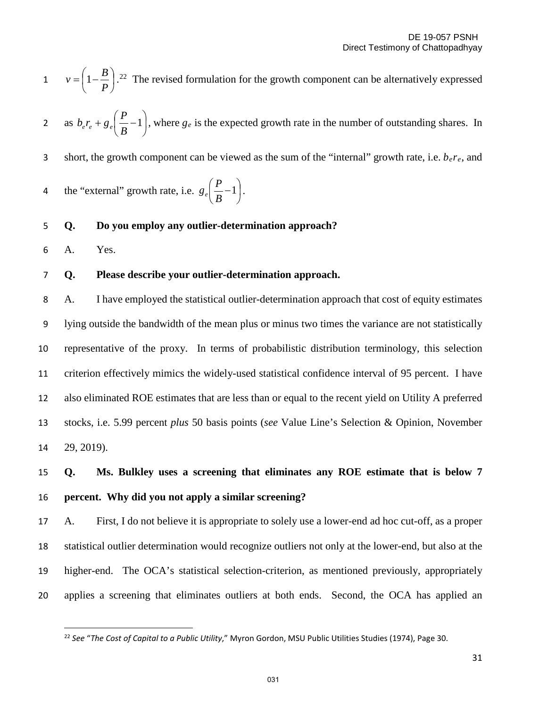$v = \left(1 - \frac{B}{R}\right)$ .<sup>[22](#page-30-0)</sup> The revised formulation for the growth component can be alternatively expressed J  $\left(1-\frac{B}{R}\right)$  $v = \left(1 - \frac{B}{P}\right)$ 

as  $b_e r_e + g_e \left| \frac{1}{R} - 1 \right|$ J  $\left(\frac{P}{P}-1\right)$  $\setminus$  $+ g_e \left( \frac{P}{R} - 1 \right)$ 2 as  $b_e r_e + g_e \left(\frac{P}{B} - 1\right)$ , where  $g_e$  is the expected growth rate in the number of outstanding shares. In

3 short, the growth component can be viewed as the sum of the "internal" growth rate, i.e.  $b_e r_e$ , and

4 the "external" growth rate, i.e.  $g_e = -1$ . J  $\left(\frac{P}{P}-1\right)$ Y  $\frac{P}{P}-1$ *B*  $g_e \left( \frac{P}{P} \right)$ 

#### 5 **Q. Do you employ any outlier-determination approach?**

6 A. Yes.

l

#### 7 **Q. Please describe your outlier-determination approach.**

A. I have employed the statistical outlier-determination approach that cost of equity estimates lying outside the bandwidth of the mean plus or minus two times the variance are not statistically representative of the proxy. In terms of probabilistic distribution terminology, this selection criterion effectively mimics the widely-used statistical confidence interval of 95 percent. I have also eliminated ROE estimates that are less than or equal to the recent yield on Utility A preferred stocks, i.e. 5.99 percent *plus* 50 basis points (*see* Value Line's Selection & Opinion, November 29, 2019).

## 15 **Q. Ms. Bulkley uses a screening that eliminates any ROE estimate that is below 7**  16 **percent. Why did you not apply a similar screening?**

 A. First, I do not believe it is appropriate to solely use a lower-end ad hoc cut-off, as a proper statistical outlier determination would recognize outliers not only at the lower-end, but also at the higher-end. The OCA's statistical selection-criterion, as mentioned previously, appropriately applies a screening that eliminates outliers at both ends. Second, the OCA has applied an

<span id="page-30-0"></span><sup>22</sup> *See* "*The Cost of Capital to a Public Utility*," Myron Gordon, MSU Public Utilities Studies (1974), Page 30.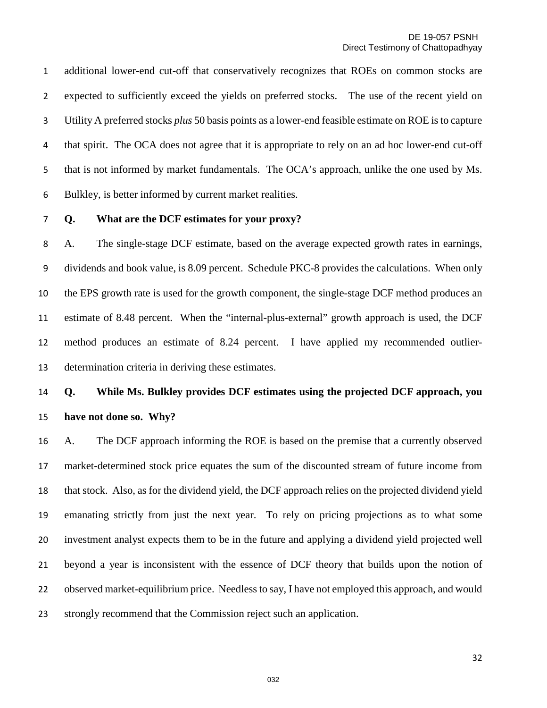additional lower-end cut-off that conservatively recognizes that ROEs on common stocks are expected to sufficiently exceed the yields on preferred stocks. The use of the recent yield on Utility A preferred stocks *plus* 50 basis points as a lower-end feasible estimate on ROE is to capture that spirit. The OCA does not agree that it is appropriate to rely on an ad hoc lower-end cut-off that is not informed by market fundamentals. The OCA's approach, unlike the one used by Ms. Bulkley, is better informed by current market realities.

#### **Q. What are the DCF estimates for your proxy?**

A.The single-stage DCF estimate, based on the average expected growth rates in earnings, dividends and book value, is 8.09 percent. Schedule PKC-8 provides the calculations. When only the EPS growth rate is used for the growth component, the single-stage DCF method produces an estimate of 8.48 percent. When the "internal-plus-external" growth approach is used, the DCF method produces an estimate of 8.24 percent. I have applied my recommended outlier-determination criteria in deriving these estimates.

## **Q. While Ms. Bulkley provides DCF estimates using the projected DCF approach, you have not done so. Why?**

 A. The DCF approach informing the ROE is based on the premise that a currently observed market-determined stock price equates the sum of the discounted stream of future income from that stock. Also, as for the dividend yield, the DCF approach relies on the projected dividend yield emanating strictly from just the next year. To rely on pricing projections as to what some investment analyst expects them to be in the future and applying a dividend yield projected well beyond a year is inconsistent with the essence of DCF theory that builds upon the notion of observed market-equilibrium price. Needless to say, I have not employed this approach, and would strongly recommend that the Commission reject such an application.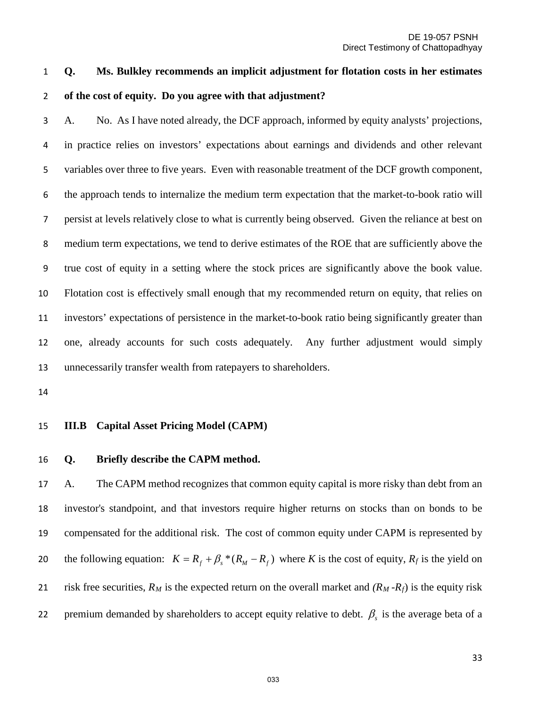## **Q. Ms. Bulkley recommends an implicit adjustment for flotation costs in her estimates of the cost of equity. Do you agree with that adjustment?**

A. No. As I have noted already, the DCF approach, informed by equity analysts' projections, in practice relies on investors' expectations about earnings and dividends and other relevant variables over three to five years. Even with reasonable treatment of the DCF growth component, the approach tends to internalize the medium term expectation that the market-to-book ratio will persist at levels relatively close to what is currently being observed. Given the reliance at best on medium term expectations, we tend to derive estimates of the ROE that are sufficiently above the true cost of equity in a setting where the stock prices are significantly above the book value. Flotation cost is effectively small enough that my recommended return on equity, that relies on investors' expectations of persistence in the market-to-book ratio being significantly greater than one, already accounts for such costs adequately. Any further adjustment would simply unnecessarily transfer wealth from ratepayers to shareholders.

#### **III.B Capital Asset Pricing Model (CAPM)**

#### **Q. Briefly describe the CAPM method.**

 A. The CAPM method recognizes that common equity capital is more risky than debt from an investor's standpoint, and that investors require higher returns on stocks than on bonds to be compensated for the additional risk. The cost of common equity under CAPM is represented by the following equation:  $K = R_f + \beta_s * (R_M - R_f)$  where *K* is the cost of equity,  $R_f$  is the yield on risk free securities, *RM* is the expected return on the overall market and *(RM -Rf*) is the equity risk 22 premium demanded by shareholders to accept equity relative to debt.  $β<sub>s</sub>$  is the average beta of a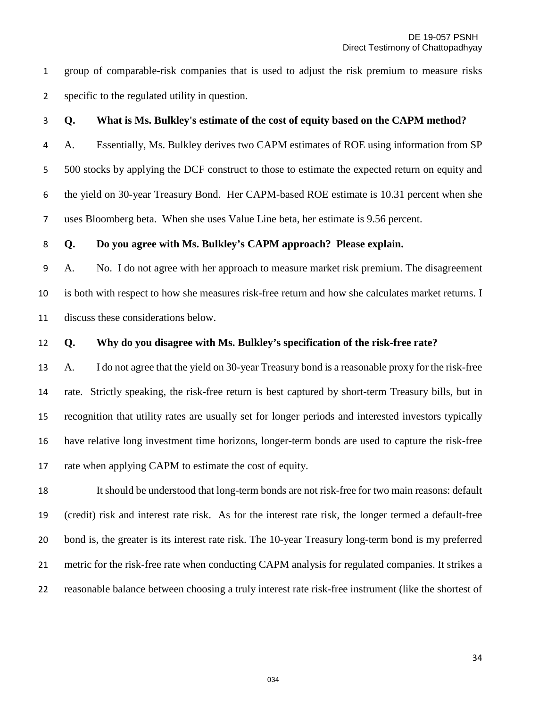group of comparable-risk companies that is used to adjust the risk premium to measure risks specific to the regulated utility in question.

#### **Q. What is Ms. Bulkley's estimate of the cost of equity based on the CAPM method?**

A. Essentially, Ms. Bulkley derives two CAPM estimates of ROE using information from SP 500 stocks by applying the DCF construct to those to estimate the expected return on equity and the yield on 30-year Treasury Bond. Her CAPM-based ROE estimate is 10.31 percent when she uses Bloomberg beta. When she uses Value Line beta, her estimate is 9.56 percent.

#### **Q. Do you agree with Ms. Bulkley's CAPM approach? Please explain.**

A. No. I do not agree with her approach to measure market risk premium. The disagreement is both with respect to how she measures risk-free return and how she calculates market returns. I discuss these considerations below.

### **Q. Why do you disagree with Ms. Bulkley's specification of the risk-free rate?**

 A. I do not agree that the yield on 30-year Treasury bond is a reasonable proxy for the risk-free rate. Strictly speaking, the risk-free return is best captured by short-term Treasury bills, but in recognition that utility rates are usually set for longer periods and interested investors typically have relative long investment time horizons, longer-term bonds are used to capture the risk-free rate when applying CAPM to estimate the cost of equity.

 It should be understood that long-term bonds are not risk-free for two main reasons: default (credit) risk and interest rate risk. As for the interest rate risk, the longer termed a default-free bond is, the greater is its interest rate risk. The 10-year Treasury long-term bond is my preferred metric for the risk-free rate when conducting CAPM analysis for regulated companies. It strikes a reasonable balance between choosing a truly interest rate risk-free instrument (like the shortest of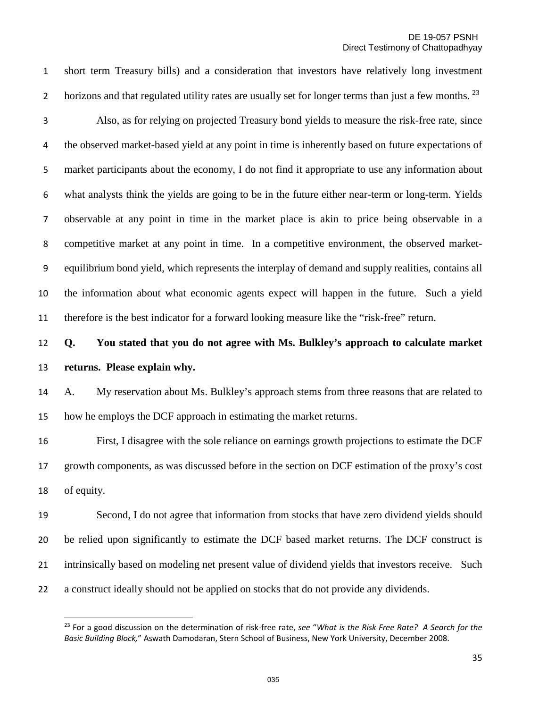short term Treasury bills) and a consideration that investors have relatively long investment 2 horizons and that regulated utility rates are usually set for longer terms than just a few months.  $^{23}$  $^{23}$  $^{23}$ 

 $\overline{a}$ 

Also, as for relying on projected Treasury bond yields to measure the risk-free rate, since the observed market-based yield at any point in time is inherently based on future expectations of market participants about the economy, I do not find it appropriate to use any information about what analysts think the yields are going to be in the future either near-term or long-term. Yields observable at any point in time in the market place is akin to price being observable in a competitive market at any point in time. In a competitive environment, the observed market-equilibrium bond yield, which represents the interplay of demand and supply realities, contains all the information about what economic agents expect will happen in the future. Such a yield therefore is the best indicator for a forward looking measure like the "risk-free" return.

 **Q. You stated that you do not agree with Ms. Bulkley's approach to calculate market returns. Please explain why.**

 A. My reservation about Ms. Bulkley's approach stems from three reasons that are related to how he employs the DCF approach in estimating the market returns.

 First, I disagree with the sole reliance on earnings growth projections to estimate the DCF growth components, as was discussed before in the section on DCF estimation of the proxy's cost of equity.

 Second, I do not agree that information from stocks that have zero dividend yields should be relied upon significantly to estimate the DCF based market returns. The DCF construct is intrinsically based on modeling net present value of dividend yields that investors receive. Such a construct ideally should not be applied on stocks that do not provide any dividends.

<span id="page-34-0"></span> For a good discussion on the determination of risk-free rate, *see* "*What is the Risk Free Rate? A Search for the Basic Building Block,*" Aswath Damodaran, Stern School of Business, New York University, December 2008.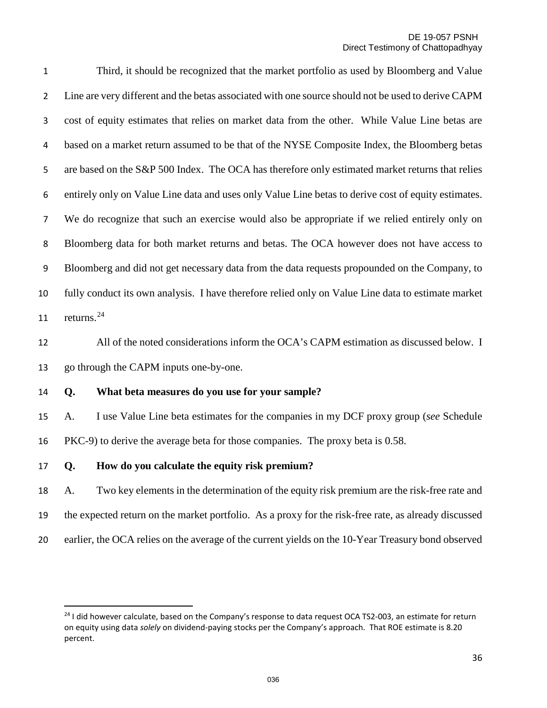Third, it should be recognized that the market portfolio as used by Bloomberg and Value Line are very different and the betas associated with one source should not be used to derive CAPM cost of equity estimates that relies on market data from the other. While Value Line betas are based on a market return assumed to be that of the NYSE Composite Index, the Bloomberg betas 5 are based on the S&P 500 Index. The OCA has therefore only estimated market returns that relies entirely only on Value Line data and uses only Value Line betas to derive cost of equity estimates. We do recognize that such an exercise would also be appropriate if we relied entirely only on Bloomberg data for both market returns and betas. The OCA however does not have access to Bloomberg and did not get necessary data from the data requests propounded on the Company, to fully conduct its own analysis. I have therefore relied only on Value Line data to estimate market 11 returns.

 All of the noted considerations inform the OCA's CAPM estimation as discussed below. I go through the CAPM inputs one-by-one.

#### **Q. What beta measures do you use for your sample?**

 A. I use Value Line beta estimates for the companies in my DCF proxy group (*see* Schedule PKC-9) to derive the average beta for those companies. The proxy beta is 0.58.

#### **Q. How do you calculate the equity risk premium?**

l

 A. Two key elements in the determination of the equity risk premium are the risk-free rate and the expected return on the market portfolio. As a proxy for the risk-free rate, as already discussed earlier, the OCA relies on the average of the current yields on the 10-Year Treasury bond observed

<span id="page-35-0"></span> I did however calculate, based on the Company's response to data request OCA TS2-003, an estimate for return on equity using data *solely* on dividend-paying stocks per the Company's approach. That ROE estimate is 8.20 percent.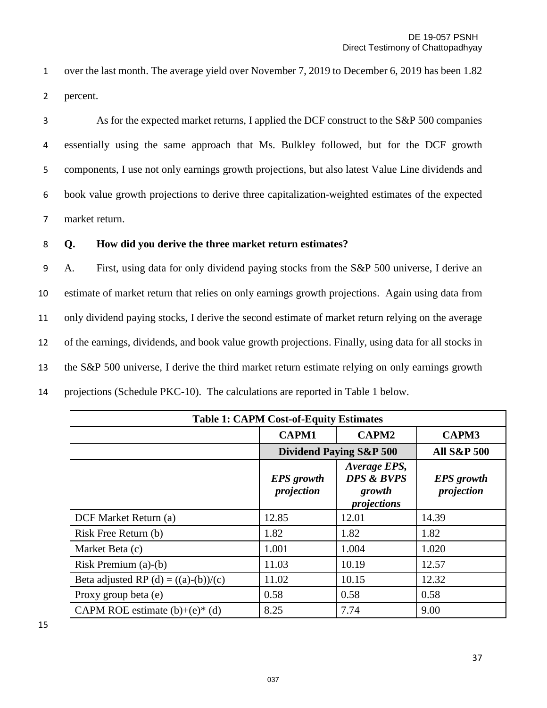1 over the last month. The average yield over November 7, 2019 to December 6, 2019 has been 1.82 2 percent.

As for the expected market returns, I applied the DCF construct to the S&P 500 companies essentially using the same approach that Ms. Bulkley followed, but for the DCF growth components, I use not only earnings growth projections, but also latest Value Line dividends and book value growth projections to derive three capitalization-weighted estimates of the expected market return.

#### 8 **Q. How did you derive the three market return estimates?**

A. First, using data for only dividend paying stocks from the S&P 500 universe, I derive an estimate of market return that relies on only earnings growth projections. Again using data from only dividend paying stocks, I derive the second estimate of market return relying on the average of the earnings, dividends, and book value growth projections. Finally, using data for all stocks in the S&P 500 universe, I derive the third market return estimate relying on only earnings growth projections (Schedule PKC-10). The calculations are reported in Table 1 below.

| <b>Table 1: CAPM Cost-of-Equity Estimates</b> |                                    |                                                                |                                 |
|-----------------------------------------------|------------------------------------|----------------------------------------------------------------|---------------------------------|
|                                               | <b>CAPM1</b>                       | <b>CAPM2</b>                                                   | <b>CAPM3</b>                    |
|                                               | <b>Dividend Paying S&amp;P 500</b> | <b>All S&amp;P 500</b>                                         |                                 |
|                                               | <b>EPS</b> growth<br>projection    | Average EPS,<br><b>DPS &amp; BVPS</b><br>growth<br>projections | <b>EPS</b> growth<br>projection |
| DCF Market Return (a)                         | 12.85                              | 12.01                                                          | 14.39                           |
| Risk Free Return (b)                          | 1.82                               | 1.82                                                           | 1.82                            |
| Market Beta (c)                               | 1.001                              | 1.004                                                          | 1.020                           |
| Risk Premium (a)-(b)                          | 11.03                              | 10.19                                                          | 12.57                           |
| Beta adjusted RP (d) = $((a)-(b))/(c)$        | 11.02                              | 10.15                                                          | 12.32                           |
| Proxy group beta (e)                          | 0.58                               | 0.58                                                           | 0.58                            |
| CAPM ROE estimate $(b)+(e)^{*}(d)$            | 8.25                               | 7.74                                                           | 9.00                            |

15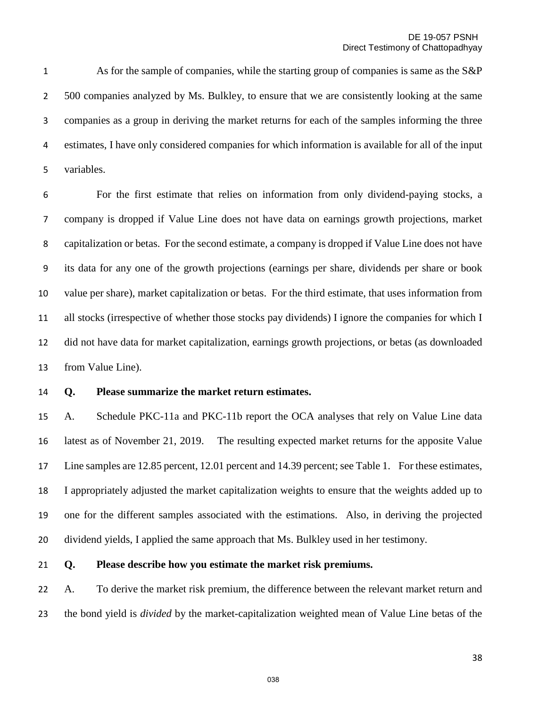As for the sample of companies, while the starting group of companies is same as the S&P 500 companies analyzed by Ms. Bulkley, to ensure that we are consistently looking at the same companies as a group in deriving the market returns for each of the samples informing the three estimates, I have only considered companies for which information is available for all of the input variables.

For the first estimate that relies on information from only dividend-paying stocks, a company is dropped if Value Line does not have data on earnings growth projections, market capitalization or betas. For the second estimate, a company is dropped if Value Line does not have its data for any one of the growth projections (earnings per share, dividends per share or book value per share), market capitalization or betas. For the third estimate, that uses information from all stocks (irrespective of whether those stocks pay dividends) I ignore the companies for which I did not have data for market capitalization, earnings growth projections, or betas (as downloaded from Value Line).

#### **Q. Please summarize the market return estimates.**

 A. Schedule PKC-11a and PKC-11b report the OCA analyses that rely on Value Line data latest as of November 21, 2019. The resulting expected market returns for the apposite Value Line samples are 12.85 percent, 12.01 percent and 14.39 percent; see Table 1. For these estimates, I appropriately adjusted the market capitalization weights to ensure that the weights added up to one for the different samples associated with the estimations. Also, in deriving the projected dividend yields, I applied the same approach that Ms. Bulkley used in her testimony.

#### **Q. Please describe how you estimate the market risk premiums.**

 A. To derive the market risk premium, the difference between the relevant market return and the bond yield is *divided* by the market-capitalization weighted mean of Value Line betas of the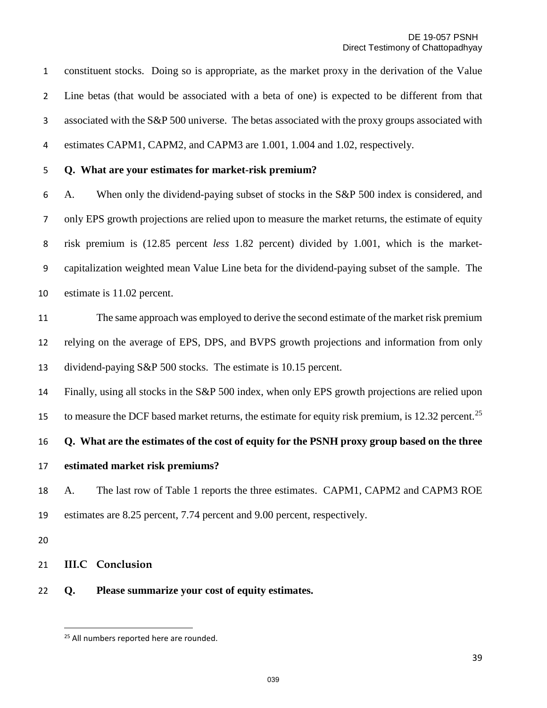constituent stocks. Doing so is appropriate, as the market proxy in the derivation of the Value Line betas (that would be associated with a beta of one) is expected to be different from that associated with the S&P 500 universe. The betas associated with the proxy groups associated with estimates CAPM1, CAPM2, and CAPM3 are 1.001, 1.004 and 1.02, respectively.

**Q. What are your estimates for market-risk premium?**

A. When only the dividend-paying subset of stocks in the S&P 500 index is considered, and only EPS growth projections are relied upon to measure the market returns, the estimate of equity risk premium is (12.85 percent *less* 1.82 percent) divided by 1.001, which is the market-capitalization weighted mean Value Line beta for the dividend-paying subset of the sample. The estimate is 11.02 percent.

 The same approach was employed to derive the second estimate of the market risk premium relying on the average of EPS, DPS, and BVPS growth projections and information from only dividend-paying S&P 500 stocks. The estimate is 10.15 percent.

 Finally, using all stocks in the S&P 500 index, when only EPS growth projections are relied upon to measure the DCF based market returns, the estimate for equity risk premium, is 12.32 percent.<sup>[25](#page-38-0)</sup>

**Q. What are the estimates of the cost of equity for the PSNH proxy group based on the three** 

- **estimated market risk premiums?**
- A. The last row of Table 1 reports the three estimates. CAPM1, CAPM2 and CAPM3 ROE estimates are 8.25 percent, 7.74 percent and 9.00 percent, respectively.

l

- **III.C Conclusion**
- <span id="page-38-0"></span>**Q. Please summarize your cost of equity estimates.**

<sup>&</sup>lt;sup>25</sup> All numbers reported here are rounded.